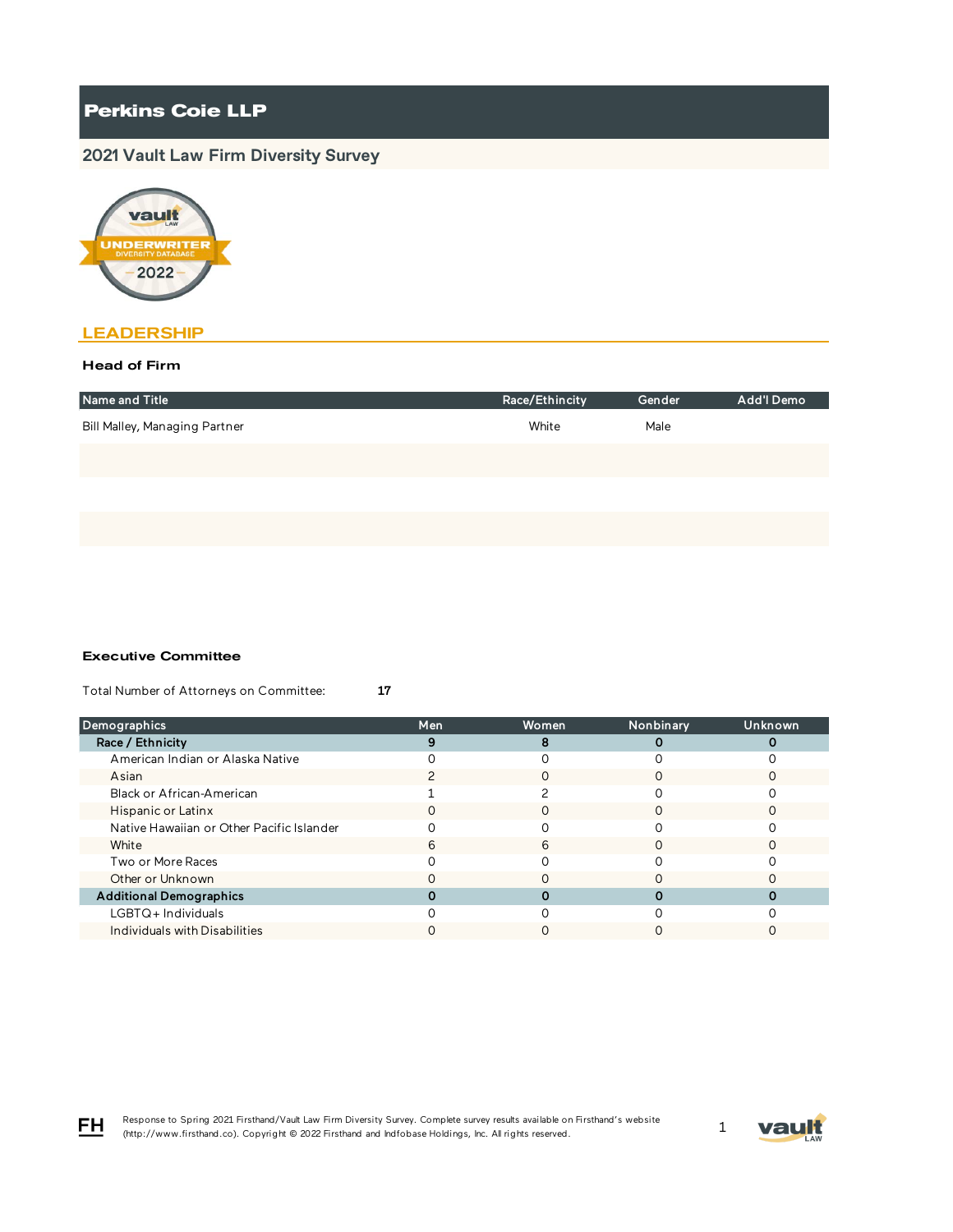# **Perkins Coie LLP**

# **2021 Vault Law Firm Diversity Survey**



# **LEADERSHIP**

### Head of Firm

| Name and Title                | Race/Ethincity | Gender | Add'l Demo |
|-------------------------------|----------------|--------|------------|
| Bill Malley, Managing Partner | White          | Male   |            |
|                               |                |        |            |
|                               |                |        |            |
|                               |                |        |            |

#### Executive Committee

Total Number of Attorneys on Committee: 17

| <b>Demographics</b>                       | Men | Women | Nonbinary | <b>Unknown</b> |
|-------------------------------------------|-----|-------|-----------|----------------|
| Race / Ethnicity                          |     |       |           |                |
| American Indian or Alaska Native          |     |       |           |                |
| Asian                                     |     |       |           |                |
| Black or African-American                 |     |       |           |                |
| Hispanic or Latinx                        | O   |       |           |                |
| Native Hawaiian or Other Pacific Islander |     |       |           |                |
| White                                     | 6   | 6     |           |                |
| Two or More Races                         |     |       |           |                |
| Other or Unknown                          |     |       |           |                |
| <b>Additional Demographics</b>            |     |       |           |                |
| LGBTQ+Individuals                         |     |       |           |                |
| Individuals with Disabilities             |     |       |           |                |



FH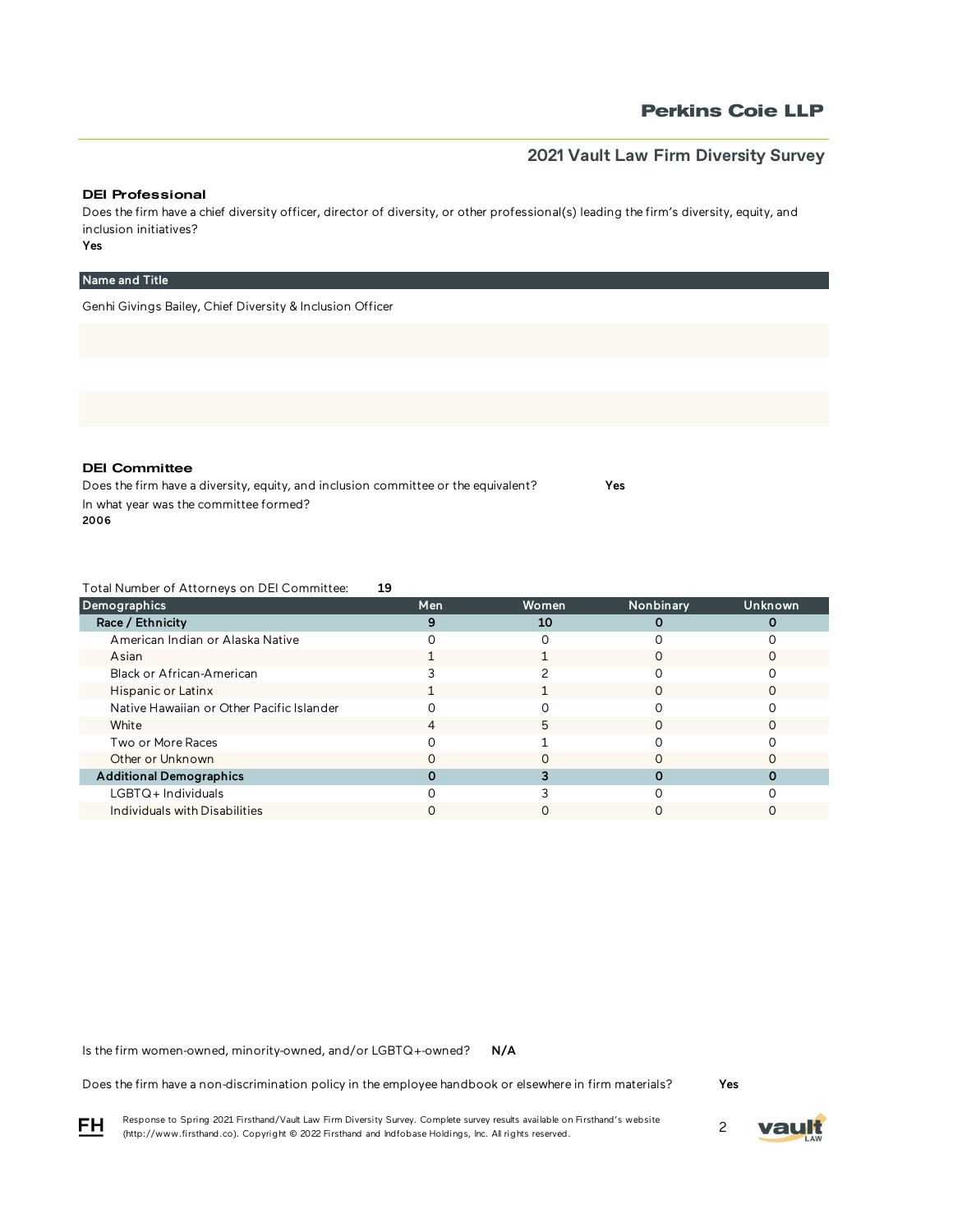# **Perkins Coie LLP**

# **2021 Vault Law Firm Diversity Survey**

#### DEI Professional

Does the firm have a chief diversity officer, director of diversity, or other professional(s) leading the firm's diversity, equity, and inclusion initiatives?

Yes

### Name and Title

Genhi Givings Bailey, Chief Diversity & Inclusion Officer

DEI Committee

Does the firm have a diversity, equity, and inclusion committee or the equivalent? Yes In what year was the committee formed? 2006

Total Number of Attorneys on DEI Committee: 19

| Demographics                              | Men | <b>Women</b> | Nonbinary | Unknown |
|-------------------------------------------|-----|--------------|-----------|---------|
| Race / Ethnicity                          |     | 10           |           |         |
| American Indian or Alaska Native          |     |              |           |         |
| Asian                                     |     |              |           |         |
| Black or African-American                 |     |              |           |         |
| Hispanic or Latinx                        |     |              |           |         |
| Native Hawaiian or Other Pacific Islander |     |              |           |         |
| White                                     |     | h            |           |         |
| Two or More Races                         |     |              |           |         |
| Other or Unknown                          |     |              |           |         |
| <b>Additional Demographics</b>            |     |              |           |         |
| LGBTQ+Individuals                         |     |              |           |         |
| Individuals with Disabilities             |     |              |           |         |

N/A Is the firm women-owned, minority-owned, and/or LGBTQ+-owned?

Does the firm have a non-discrimination policy in the employee handbook or elsewhere in firm materials?

Yes

Response to Spring 2021 Firsthand/Vault Law Firm Diversity Survey. Complete survey results available on Firsthand's website Response to Spring 2021 Firsthand/vault Law Firm Diversity Survey. Complete survey results available on Firsthand s website<br>(http://www.firsthand.co). Copyright © 2022 Firsthand and Indfobase Holdings, Inc. All rights rese



FH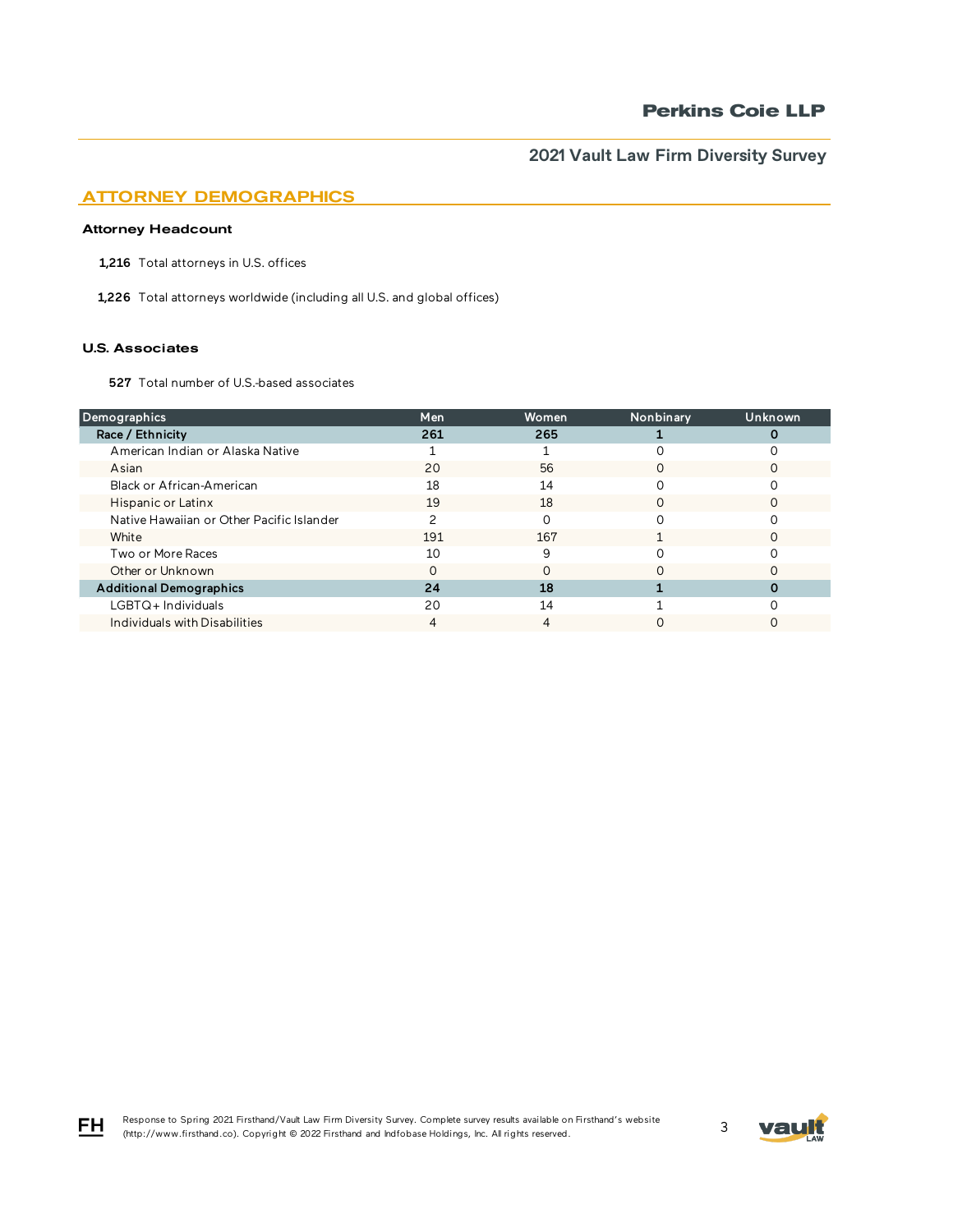# ATTORNEY DEMOGRAPHICS

### Attorney Headcount

1,216 Total attorneys in U.S. offices

1,226 Total attorneys worldwide (including all U.S. and global offices)

#### U.S. Associates

FH

527 Total number of U.S.-based associates

| <b>Demographics</b>                       | Men | Women | Nonbinary | Unknown |
|-------------------------------------------|-----|-------|-----------|---------|
| Race / Ethnicity                          | 261 | 265   |           |         |
| American Indian or Alaska Native          |     |       |           |         |
| Asian                                     | 20  | 56    | ∩         |         |
| Black or African-American                 | 18  | 14    | O         |         |
| Hispanic or Latinx                        | 19  | 18    | $\Omega$  |         |
| Native Hawaiian or Other Pacific Islander |     |       |           |         |
| White                                     | 191 | 167   |           |         |
| Two or More Races                         | 10  | q     |           |         |
| Other or Unknown                          |     |       |           |         |
| <b>Additional Demographics</b>            | 24  | 18    |           |         |
| LGBTQ+Individuals                         | 20  | 14    |           |         |
| Individuals with Disabilities             |     |       |           |         |

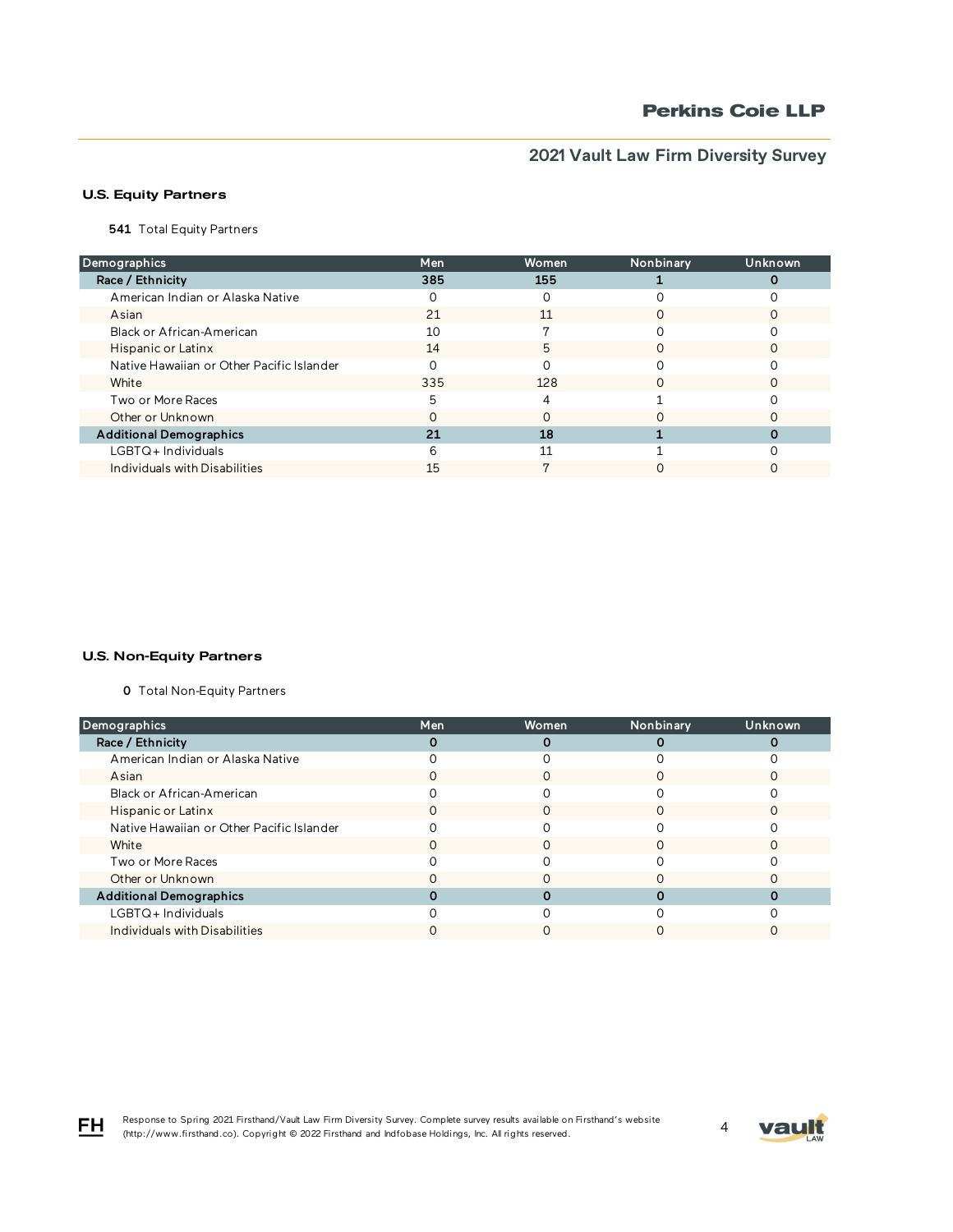## U.S. Equity Partners

**541** Total Equity Partners

| Demographics                              | Men | Women | Nonbinary | Unknown |
|-------------------------------------------|-----|-------|-----------|---------|
| Race / Ethnicity                          | 385 | 155   |           |         |
| American Indian or Alaska Native          |     |       |           |         |
| Asian                                     | 21  | 11    | O         |         |
| Black or African-American                 | 10  |       |           |         |
| Hispanic or Latinx                        | 14  | 5     | $\Omega$  |         |
| Native Hawaiian or Other Pacific Islander |     |       |           |         |
| White                                     | 335 | 128   |           |         |
| Two or More Races                         | г,  |       |           |         |
| Other or Unknown                          |     |       |           |         |
| <b>Additional Demographics</b>            | 21  | 18    |           |         |
| $LGBTQ+$ Individuals                      | n   | 11    |           |         |
| Individuals with Disabilities             | 15  |       |           |         |

### U.S. Non-Equity Partners

0 Total Non-Equity Partners

| Demographics                              | Men | Women | Nonbinary | Unknown |
|-------------------------------------------|-----|-------|-----------|---------|
| Race / Ethnicity                          |     |       |           |         |
| American Indian or Alaska Native          |     |       |           |         |
| Asian                                     |     |       |           |         |
| Black or African-American                 |     |       |           |         |
| Hispanic or Latinx                        |     |       |           |         |
| Native Hawaiian or Other Pacific Islander |     |       |           |         |
| White                                     |     | ∩     | ∩         |         |
| Two or More Races                         |     |       |           |         |
| Other or Unknown                          |     |       |           |         |
| <b>Additional Demographics</b>            |     |       |           |         |
| LGBTQ+Individuals                         |     |       |           |         |
| Individuals with Disabilities             |     |       |           |         |

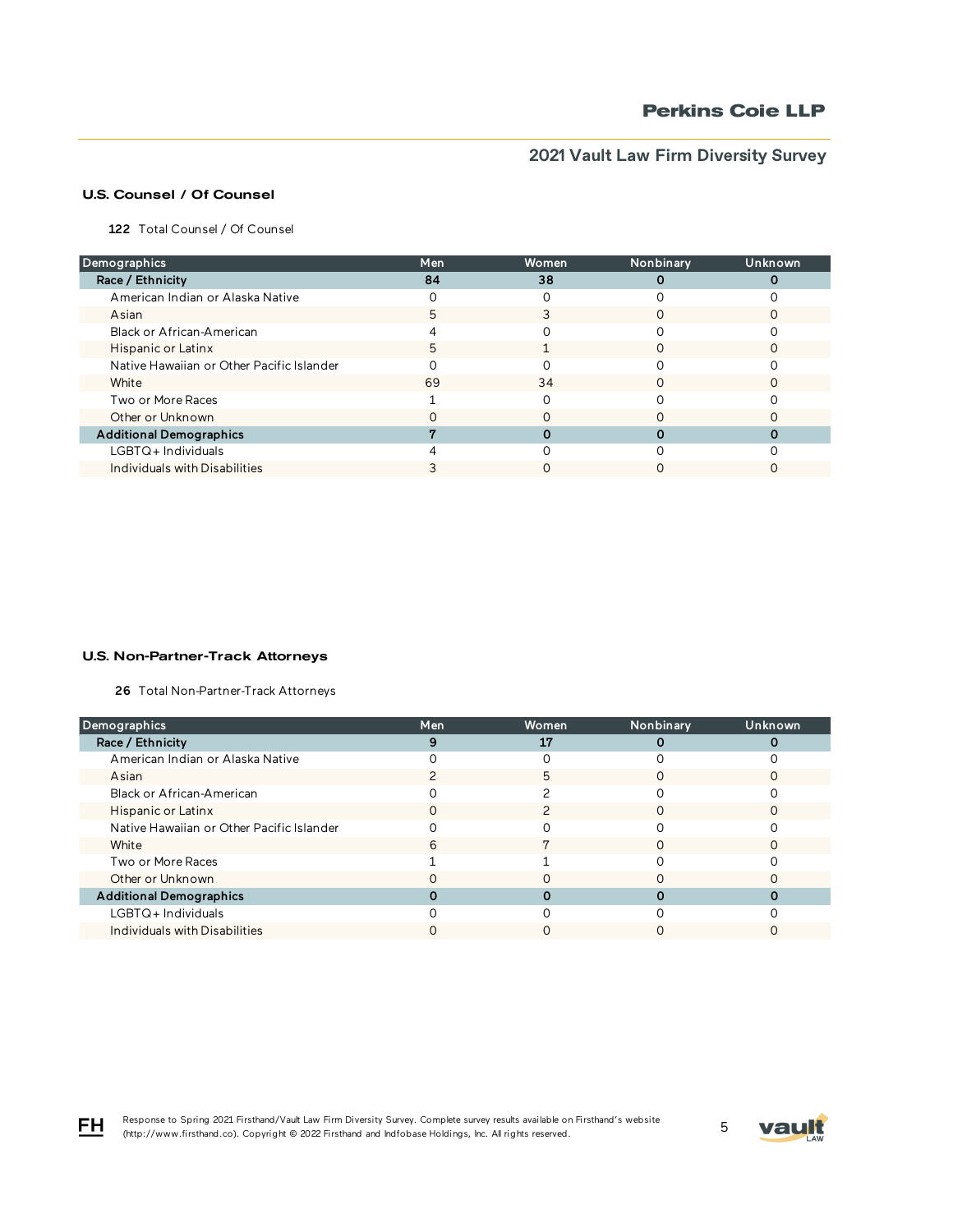# U.S. Counsel / Of Counsel

122 Total Counsel / Of Counsel

| Demographics                              | Men | Women | Nonbinary | Unknown |
|-------------------------------------------|-----|-------|-----------|---------|
| Race / Ethnicity                          | 84  | 38    |           |         |
| American Indian or Alaska Native          |     |       |           |         |
| Asian                                     |     |       |           |         |
| Black or African-American                 |     |       |           |         |
| Hispanic or Latinx                        | 5   |       |           |         |
| Native Hawaiian or Other Pacific Islander |     |       |           |         |
| White                                     | 69  | 34    |           |         |
| Two or More Races                         |     |       |           |         |
| Other or Unknown                          |     |       |           |         |
| <b>Additional Demographics</b>            |     |       |           |         |
| LGBTQ+Individuals                         |     |       |           |         |
| Individuals with Disabilities             |     |       |           |         |

#### U.S. Non-Partner-Track Attorneys

26 Total Non-Partner-Track Attorneys

| Demographics                              | Men | Women | Nonbinary | Unknown |
|-------------------------------------------|-----|-------|-----------|---------|
| Race / Ethnicity                          |     | 17    |           |         |
| American Indian or Alaska Native          |     |       |           |         |
| Asian                                     |     | 5     |           |         |
| Black or African-American                 |     |       |           |         |
| Hispanic or Latinx                        |     |       |           |         |
| Native Hawaiian or Other Pacific Islander |     |       |           |         |
| White                                     | 6   |       | ∩         |         |
| Two or More Races                         |     |       |           |         |
| Other or Unknown                          |     |       |           |         |
| <b>Additional Demographics</b>            |     |       |           |         |
| $LGBTQ+$ Individuals                      |     |       |           |         |
| Individuals with Disabilities             |     |       |           |         |

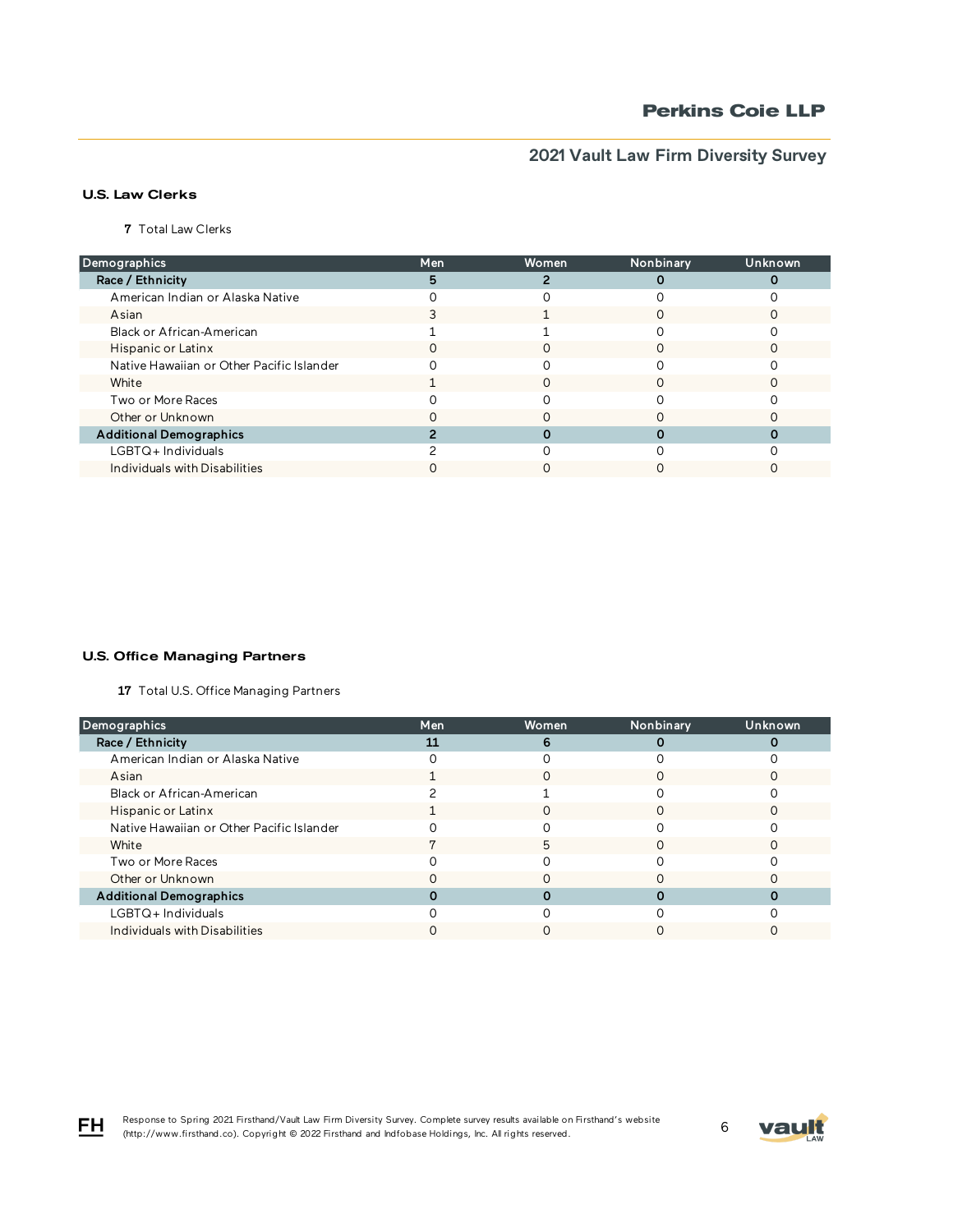# **Perkins Coie LLP**

# **2021 Vault Law Firm Diversity Survey**

## U.S. Law Clerks

7 Total Law Clerks

| Demographics                              | Men              | Women | Nonbinary | Unknown |
|-------------------------------------------|------------------|-------|-----------|---------|
| Race / Ethnicity                          |                  |       |           |         |
| American Indian or Alaska Native          |                  |       |           |         |
| Asian                                     |                  |       |           |         |
| Black or African-American                 |                  |       |           |         |
| Hispanic or Latinx                        | $\left( \right)$ |       |           |         |
| Native Hawaiian or Other Pacific Islander |                  |       |           |         |
| White                                     |                  |       |           |         |
| Two or More Races                         |                  |       |           |         |
| Other or Unknown                          |                  |       |           |         |
| <b>Additional Demographics</b>            |                  |       |           |         |
| $LGBTQ+$ Individuals                      |                  |       |           |         |
| Individuals with Disabilities             |                  |       |           |         |

#### U.S. Office Managing Partners

17 Total U.S. Office Managing Partners

| Demographics                              | Men | Women | Nonbinary | Unknown |
|-------------------------------------------|-----|-------|-----------|---------|
| Race / Ethnicity                          |     | 6     |           |         |
| American Indian or Alaska Native          |     |       |           |         |
| Asian                                     |     |       |           |         |
| Black or African-American                 |     |       |           |         |
| Hispanic or Latinx                        |     |       |           |         |
| Native Hawaiian or Other Pacific Islander |     |       |           |         |
| White                                     |     | 5     | ∩         |         |
| Two or More Races                         |     |       |           |         |
| Other or Unknown                          |     |       |           |         |
| <b>Additional Demographics</b>            |     |       |           |         |
| $LGBTQ+$ Individuals                      |     |       |           |         |
| Individuals with Disabilities             |     |       |           |         |

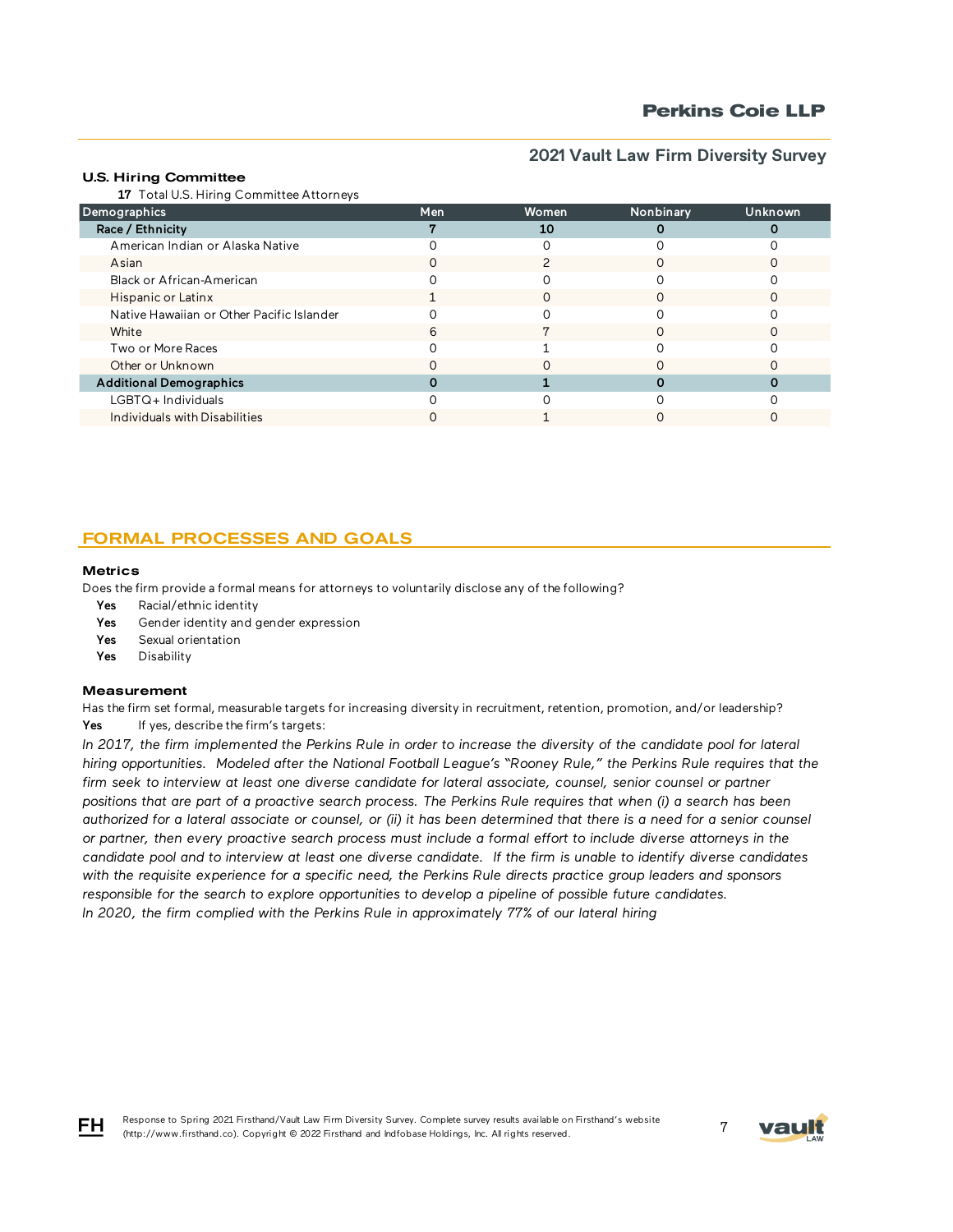### U.S. Hiring Committee

17 Total U.S. Hiring Committee Attorneys

| Demographics                              | Men | Women | Nonbinary | Unknown |
|-------------------------------------------|-----|-------|-----------|---------|
| Race / Ethnicity                          |     | 10    |           |         |
| American Indian or Alaska Native          |     |       |           |         |
| Asian                                     | O   |       |           |         |
| Black or African-American                 |     |       |           |         |
| Hispanic or Latinx                        |     |       |           |         |
| Native Hawaiian or Other Pacific Islander |     |       |           |         |
| White                                     |     |       |           |         |
| Two or More Races                         |     |       |           |         |
| Other or Unknown                          |     |       |           |         |
| <b>Additional Demographics</b>            |     |       |           |         |
| LGBTQ+Individuals                         |     |       |           |         |
| Individuals with Disabilities             |     |       |           |         |

# FORMAL PROCESSES AND GOALS

#### **Metrics**

Does the firm provide a formal means for attorneys to voluntarily disclose any of the following?

- Yes Racial/ethnic identity
- Yes Gender identity and gender expression
- Yes Sexual orientation
- Yes Disability

#### **Measurement**

Has the firm set formal, measurable targets for increasing diversity in recruitment, retention, promotion, and/or leadership? Yes If yes, describe the firm's targets:

In 2017, the firm implemented the Perkins Rule in order to increase the diversity of the candidate pool for lateral *hiring opportunities. Modeled after the National Football League's "Rooney Rule," the Perkins Rule requires that the firm seek to interview at least one diverse candidate for lateral associate, counsel, senior counsel or partner positions that are part of a proactive search process. The Perkins Rule requires that when (i) a search has been authorized for a lateral associate or counsel, or (ii) it has been determined that there is a need for a senior counsel or partner, then every proactive search process must include a formal effort to include diverse attorneys in the candidate pool and to interview at least one diverse candidate. If the firm is unable to identify diverse candidates with the requisite experience for a specific need, the Perkins Rule directs practice group leaders and sponsors responsible for the search to explore opportunities to develop a pipeline of possible future candidates. In 2020, the firm complied with the Perkins Rule in approximately 77% of our lateral hiring*



FH.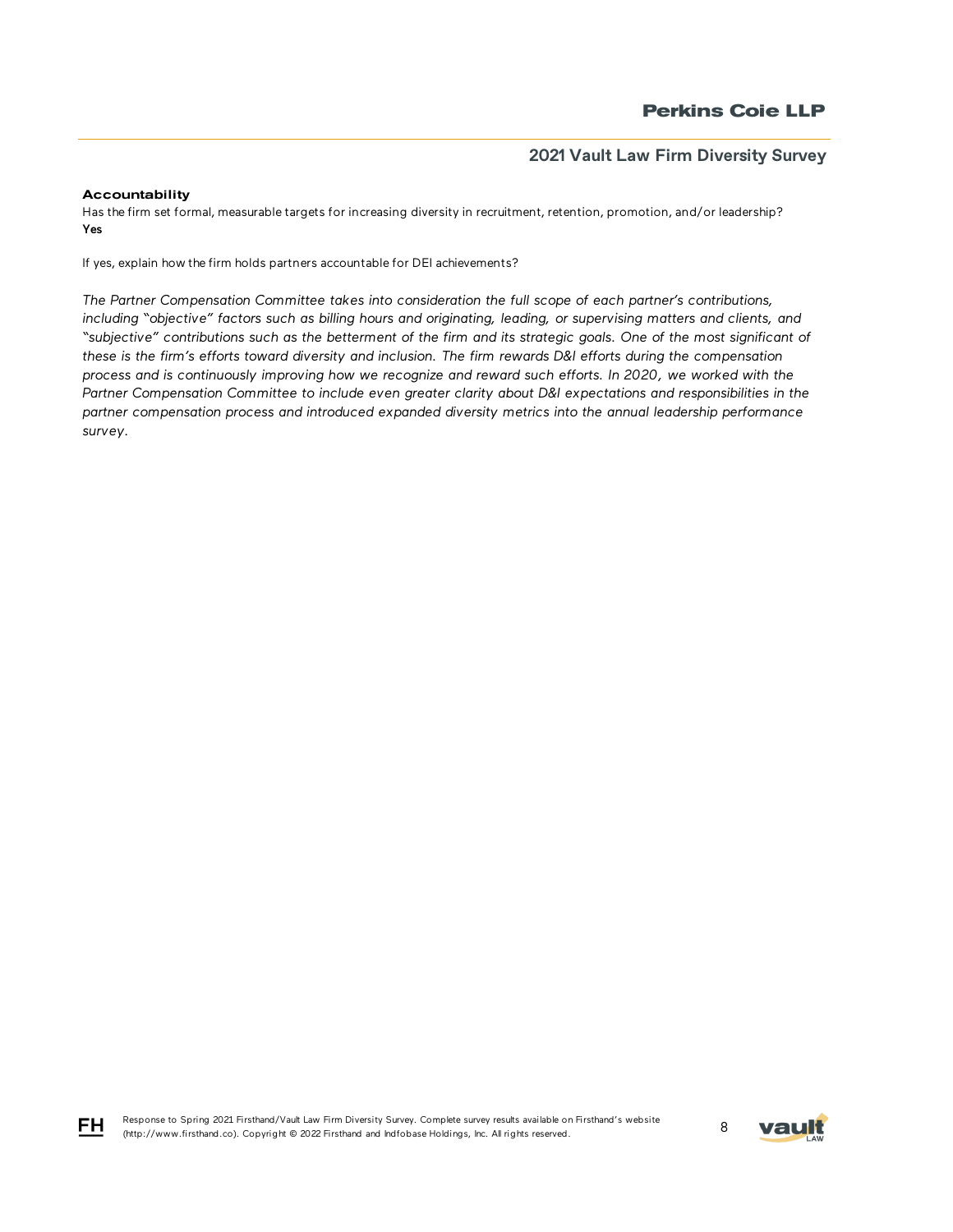### Accountability

Has the firm set formal, measurable targets for increasing diversity in recruitment, retention, promotion, and/or leadership? Yes

If yes, explain how the firm holds partners accountable for DEI achievements?

*The Partner Compensation Committee takes into consideration the full scope of each partner's contributions, including "objective" factors such as billing hours and originating, leading, or supervising matters and clients, and "subjective" contributions such as the betterment of the firm and its strategic goals. One of the most significant of*  these is the firm's efforts toward diversity and inclusion. The firm rewards D&I efforts during the compensation *process and is continuously improving how we recognize and reward such efforts. In 2020, we worked with the*  Partner Compensation Committee to include even greater clarity about D&I expectations and responsibilities in the *partner compensation process and introduced expanded diversity metrics into the annual leadership performance survey.*



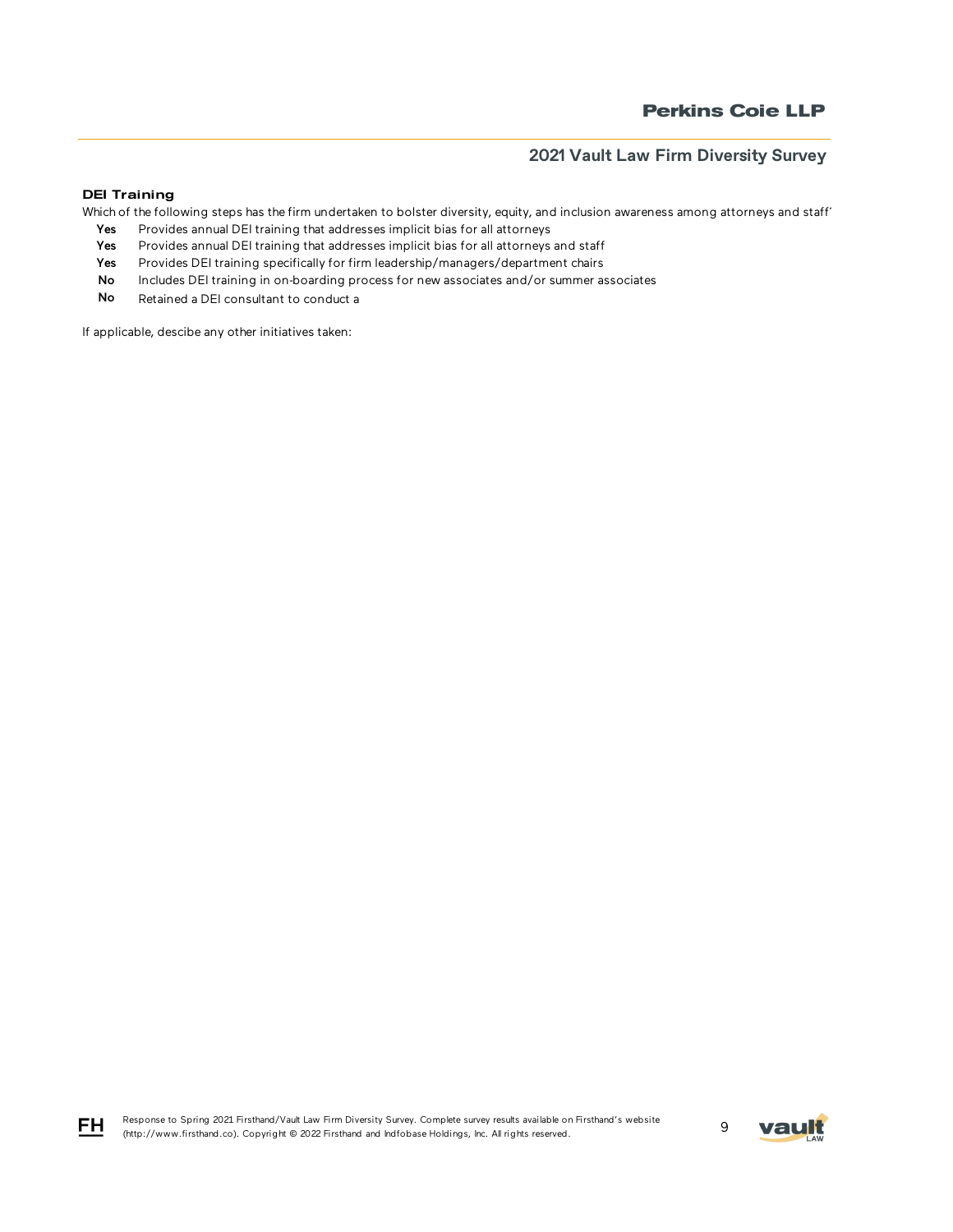### DEI Training

Which of the following steps has the firm undertaken to bolster diversity, equity, and inclusion awareness among attorneys and staff'

- Yes Provides annual DEI training that addresses implicit bias for all attorneys
- Yes Provides annual DEI training that addresses implicit bias for all attorneys and staff
- Yes Provides DEI training specifically for firm leadership/managers/department chairs
- No Includes DEI training in on-boarding process for new associates and/or summer associates
- No Retained a DEI consultant to conduct a

If applicable, descibe any other initiatives taken:



$$
\mathsf{F}\mathsf{H}
$$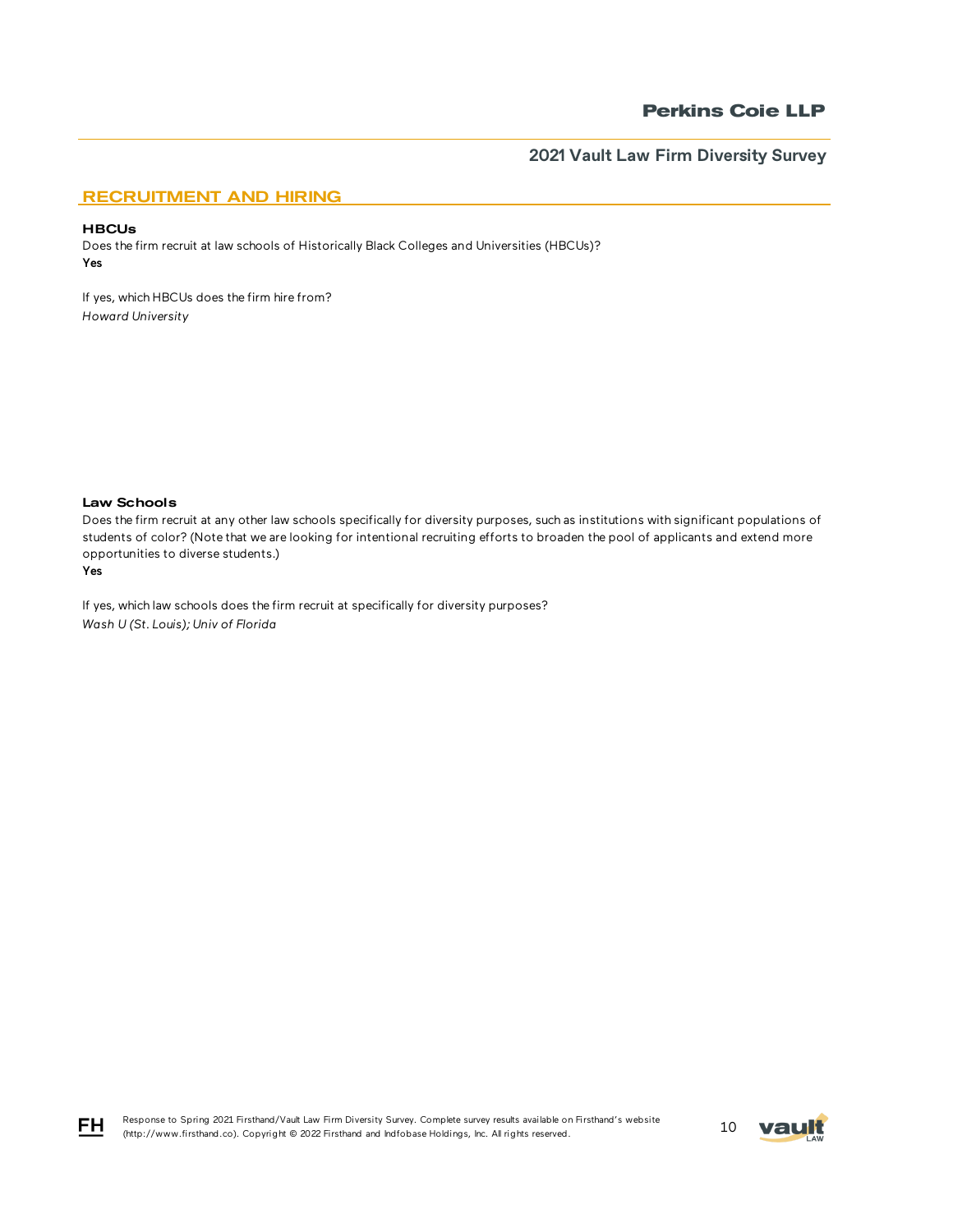# RECRUITMENT AND HIRING

### **HBCUs**

Does the firm recruit at law schools of Historically Black Colleges and Universities (HBCUs)? Yes

If yes, which HBCUs does the firm hire from? *Howard University*

### Law Schools

Does the firm recruit at any other law schools specifically for diversity purposes, such as institutions with significant populations of students of color? (Note that we are looking for intentional recruiting efforts to broaden the pool of applicants and extend more opportunities to diverse students.)

#### Yes

If yes, which law schools does the firm recruit at specifically for diversity purposes? *Wash U (St. Louis); Univ of Florida*





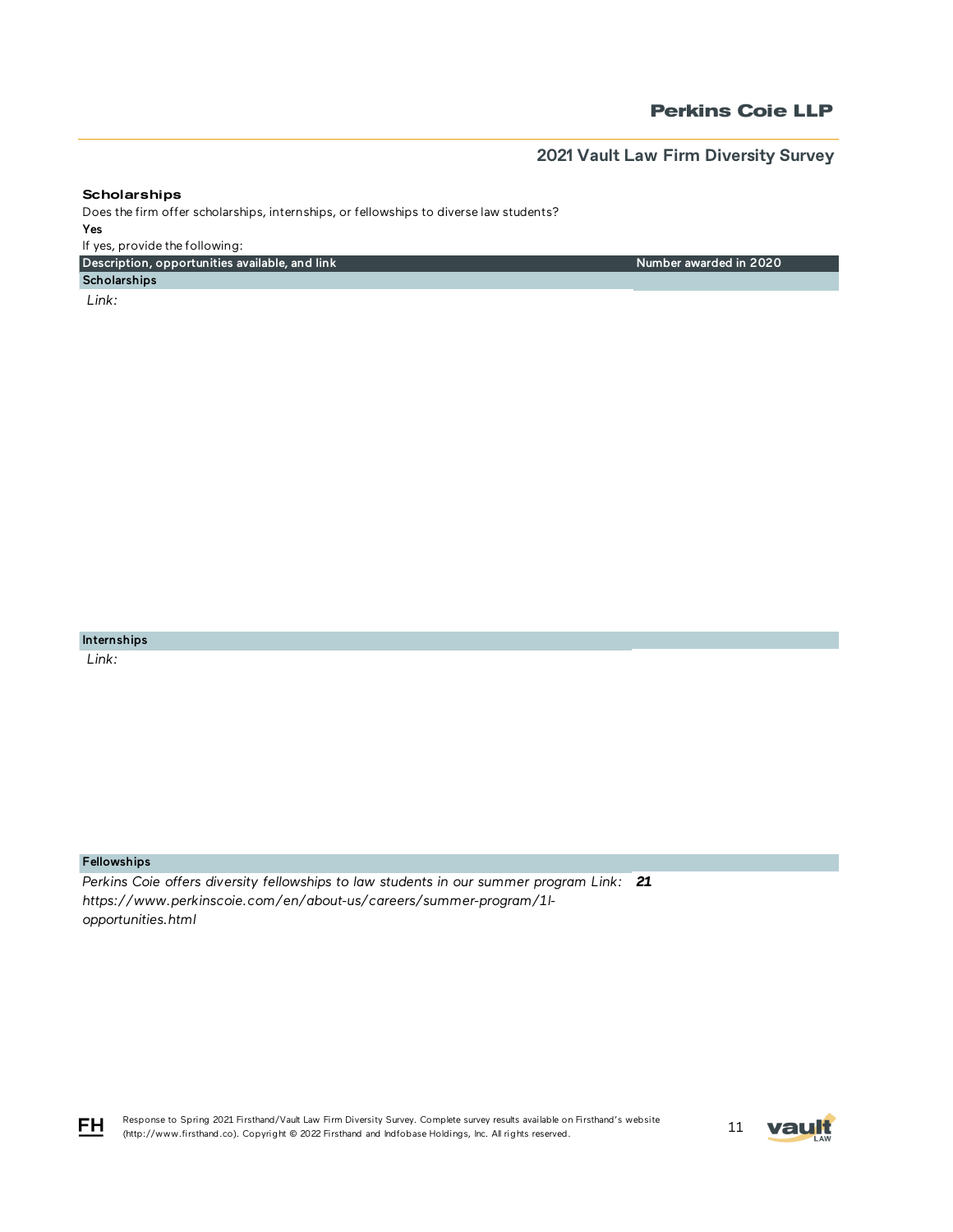Number awarded in 2020

### **Scholarships**

Does the firm offer scholarships, internships, or fellowships to diverse law students? Yes If yes, provide the following:

Description, opportunities available, and link

**Scholarships**  *Link:* 

Internships

 *Link:* 

## Fellowships

*Perkins Coie offers diversity fellowships to law students in our summer program Link: 21https://www.perkinscoie.com/en/about-us/careers/summer-program/1lopportunities.html*



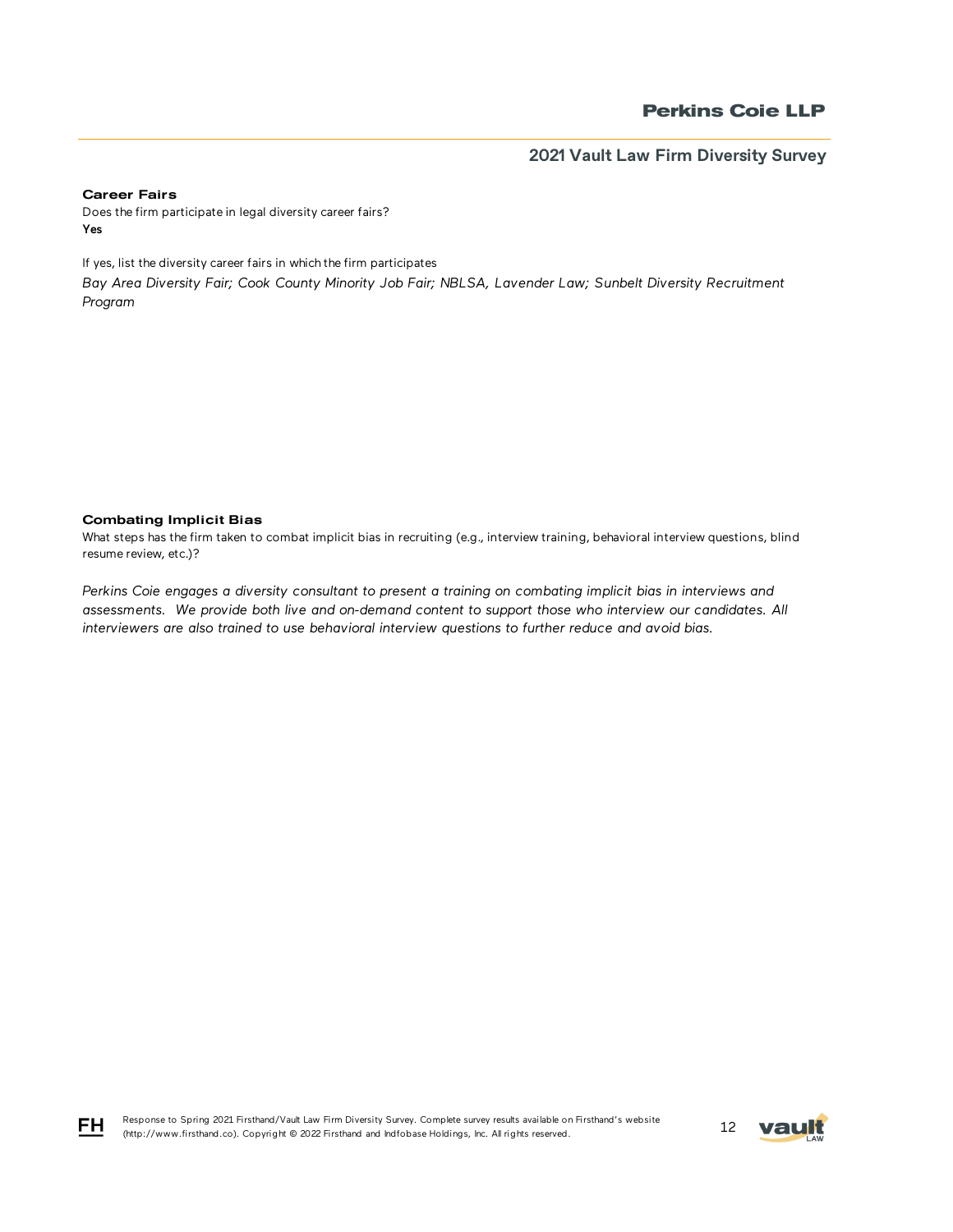#### Career Fairs

Does the firm participate in legal diversity career fairs? Yes

If yes, list the diversity career fairs in which the firm participates

*Bay Area Diversity Fair; Cook County Minority Job Fair; NBLSA, Lavender Law; Sunbelt Diversity Recruitment Program* 

### Combating Implicit Bias

FH

What steps has the firm taken to combat implicit bias in recruiting (e.g., interview training, behavioral interview questions, blind resume review, etc.)?

*Perkins Coie engages a diversity consultant to present a training on combating implicit bias in interviews and assessments. We provide both live and on-demand content to support those who interview our candidates. All interviewers are also trained to use behavioral interview questions to further reduce and avoid bias.*

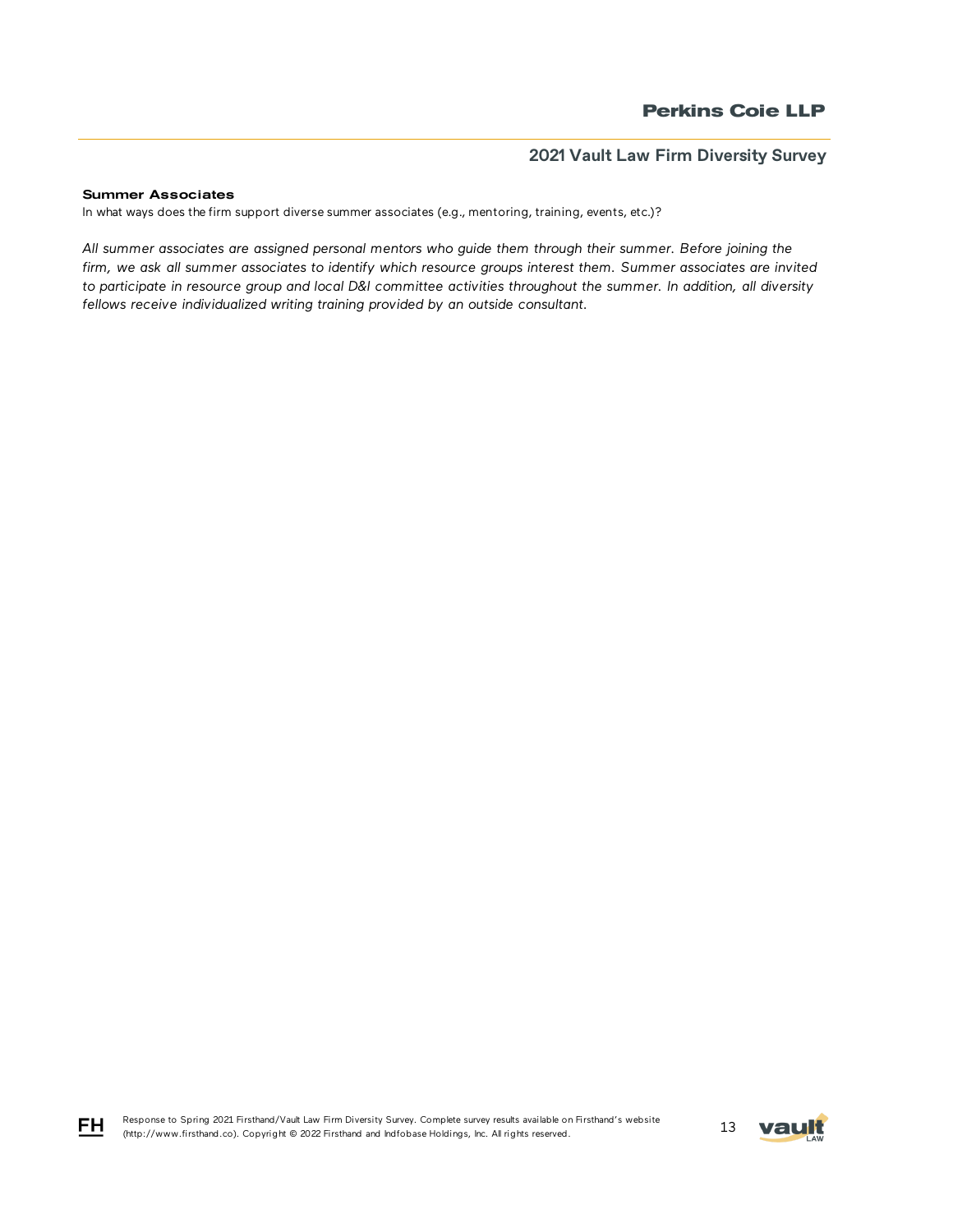#### Summer Associates

In what ways does the firm support diverse summer associates (e.g., mentoring, training, events, etc.)?

*All summer associates are assigned personal mentors who guide them through their summer. Before joining the firm, we ask all summer associates to identify which resource groups interest them. Summer associates are invited to participate in resource group and local D&I committee activities throughout the summer. In addition, all diversity fellows receive individualized writing training provided by an outside consultant.*



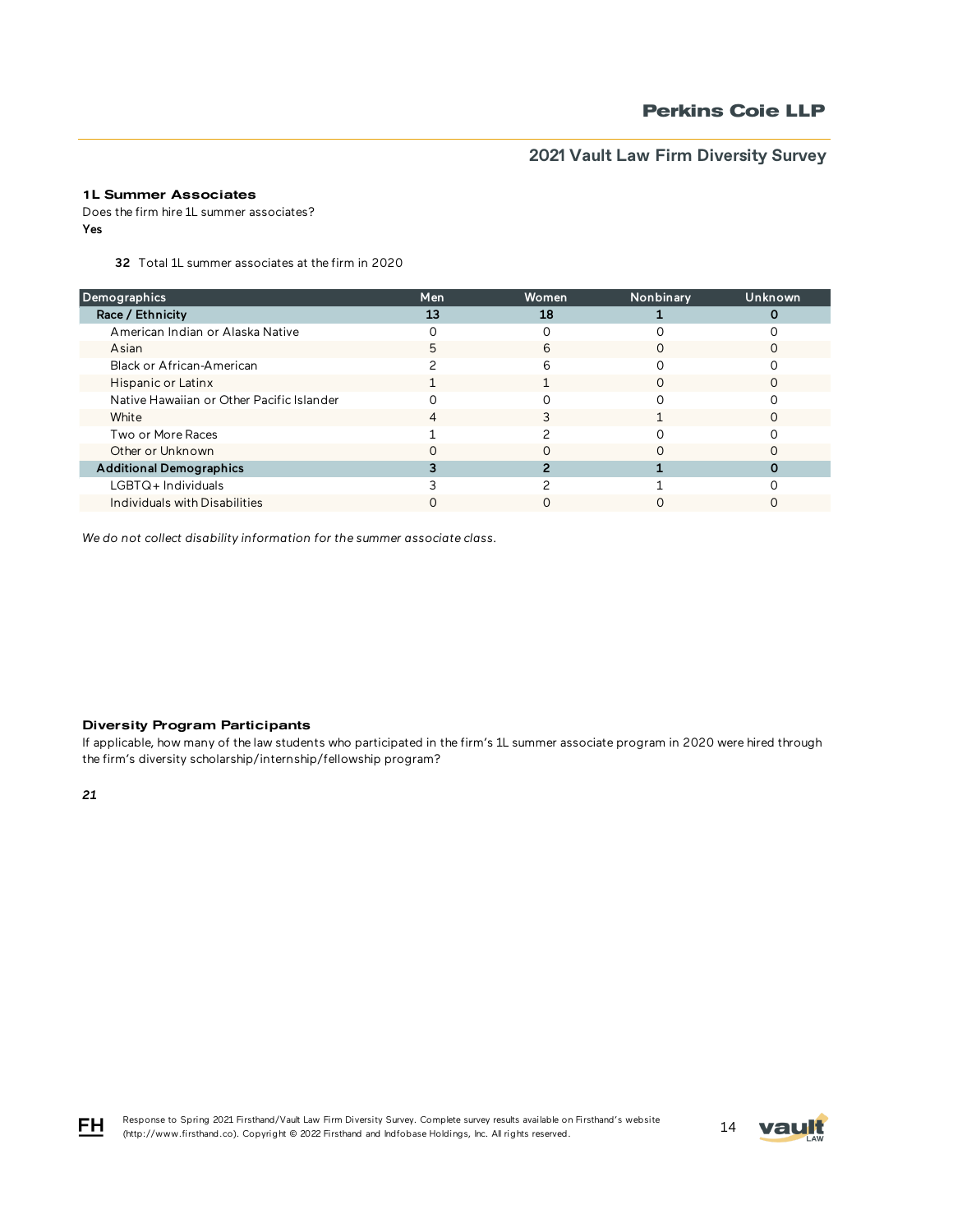## 1L Summer Associates

Does the firm hire 1L summer associates? Yes

32 Total 1L summer associates at the firm in 2020

| Demographics                              | Men | <b>Women</b> | Nonbinary | Unknown |
|-------------------------------------------|-----|--------------|-----------|---------|
| Race / Ethnicity                          | 13  | 18           |           |         |
| American Indian or Alaska Native          |     |              |           |         |
| Asian                                     | 5   | 6            |           |         |
| Black or African-American                 |     | 6            |           |         |
| Hispanic or Latinx                        |     |              | ∩         |         |
| Native Hawaiian or Other Pacific Islander |     |              |           |         |
| White                                     |     |              |           |         |
| Two or More Races                         |     |              |           |         |
| Other or Unknown                          |     |              |           |         |
| <b>Additional Demographics</b>            |     |              |           |         |
| $LGBTQ+$ Individuals                      |     |              |           |         |
| Individuals with Disabilities             |     |              |           |         |

*We do not collect disability information for the summer associate class.*

### Diversity Program Participants

If applicable, how many of the law students who participated in the firm's 1L summer associate program in 2020 were hired through the firm's diversity scholarship/internship/fellowship program?

*21*





FH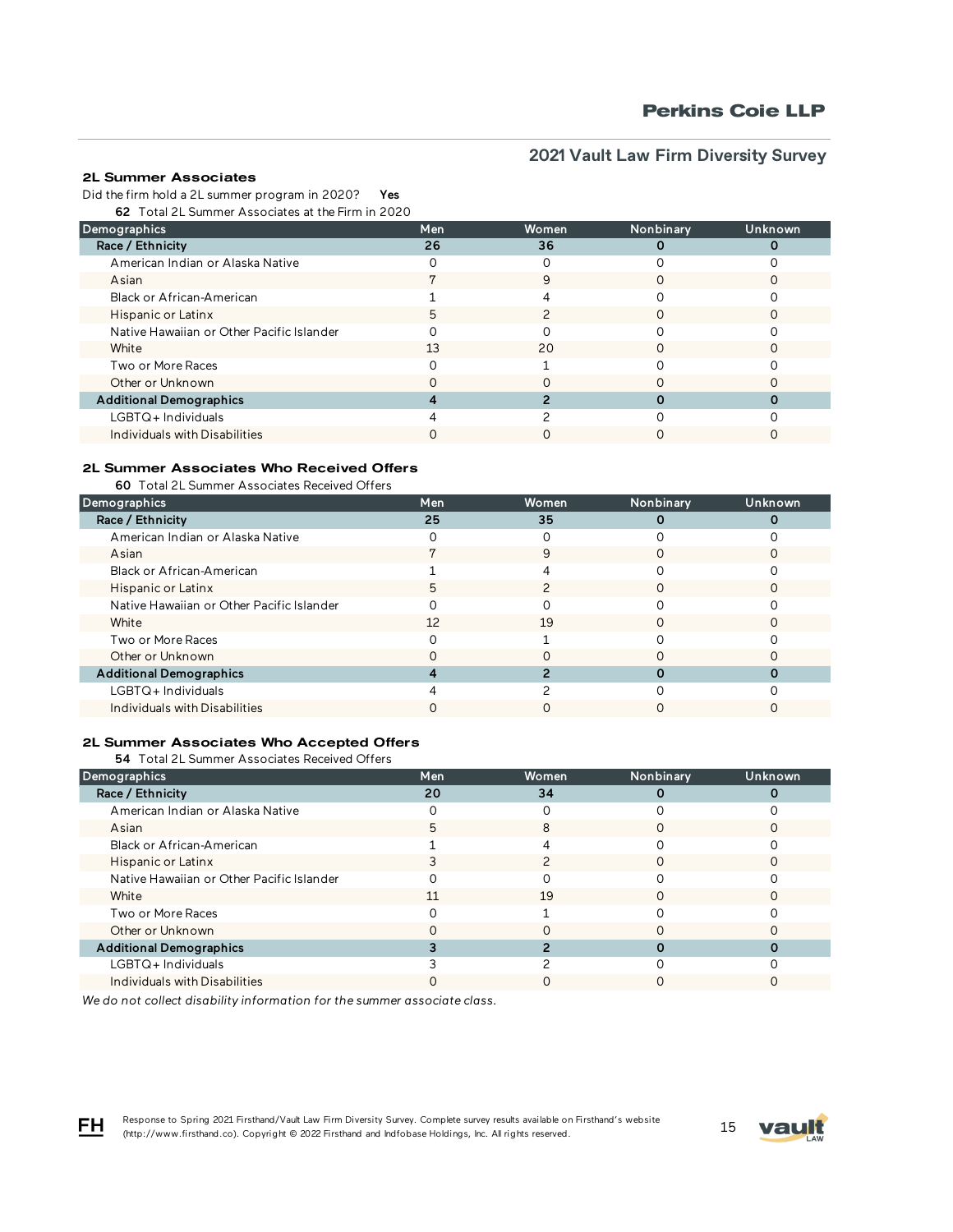# **Perkins Coie LLP**

# **2021 Vault Law Firm Diversity Survey**

## 2L Summer Associates

Did the firm hold a 2L summer program in 2020? Yes

62 Total 2L Summer Associates at the Firm in 2020

| Demographics                              | Men | <b>Women</b> | Nonbinary | Unknown |
|-------------------------------------------|-----|--------------|-----------|---------|
| Race / Ethnicity                          | 26  | 36           |           |         |
| American Indian or Alaska Native          |     |              |           |         |
| Asian                                     |     | 9            |           |         |
| Black or African-American                 |     | 4            |           |         |
| Hispanic or Latinx                        |     |              |           |         |
| Native Hawaiian or Other Pacific Islander |     |              |           |         |
| White                                     | 13  | 20           |           |         |
| Two or More Races                         |     |              |           |         |
| Other or Unknown                          |     |              |           |         |
| <b>Additional Demographics</b>            |     |              |           |         |
| LGBTQ+Individuals                         |     |              |           |         |
| Individuals with Disabilities             |     |              |           |         |

# 2L Summer Associates Who Received Offers

60 Total 2L Summer Associates Received Offers

| Demographics                              | Men | Women | Nonbinary | Unknown, |
|-------------------------------------------|-----|-------|-----------|----------|
| Race / Ethnicity                          | 25  | 35    |           |          |
| American Indian or Alaska Native          |     |       |           |          |
| Asian                                     |     | 9     |           |          |
| Black or African-American                 |     |       |           |          |
| Hispanic or Latinx                        | 5   |       | ∩         |          |
| Native Hawaiian or Other Pacific Islander |     |       |           |          |
| White                                     | 12  | 19    |           |          |
| Two or More Races                         |     |       |           |          |
| Other or Unknown                          |     |       |           |          |
| <b>Additional Demographics</b>            |     |       |           |          |
| LGBTQ+Individuals                         |     |       |           |          |
| Individuals with Disabilities             |     |       |           |          |

### 2L Summer Associates Who Accepted Offers

54 Total 2L Summer Associates Received Offers

| Demographics                              | Men | Women | Nonbinary | Unknown |
|-------------------------------------------|-----|-------|-----------|---------|
|                                           |     |       |           |         |
| Race / Ethnicity                          | 20  | 34    |           |         |
| American Indian or Alaska Native          |     |       |           |         |
| Asian                                     |     |       |           |         |
| Black or African-American                 |     |       |           |         |
| Hispanic or Latinx                        |     |       |           |         |
| Native Hawaiian or Other Pacific Islander |     |       |           |         |
| White                                     | 11  | 19    | ∩         |         |
| Two or More Races                         |     |       |           |         |
| Other or Unknown                          |     |       |           |         |
| <b>Additional Demographics</b>            |     |       |           |         |
| $LGBTQ+$ Individuals                      |     |       |           |         |
| Individuals with Disabilities             |     |       |           |         |

*We do not collect disability information for the summer associate class.*

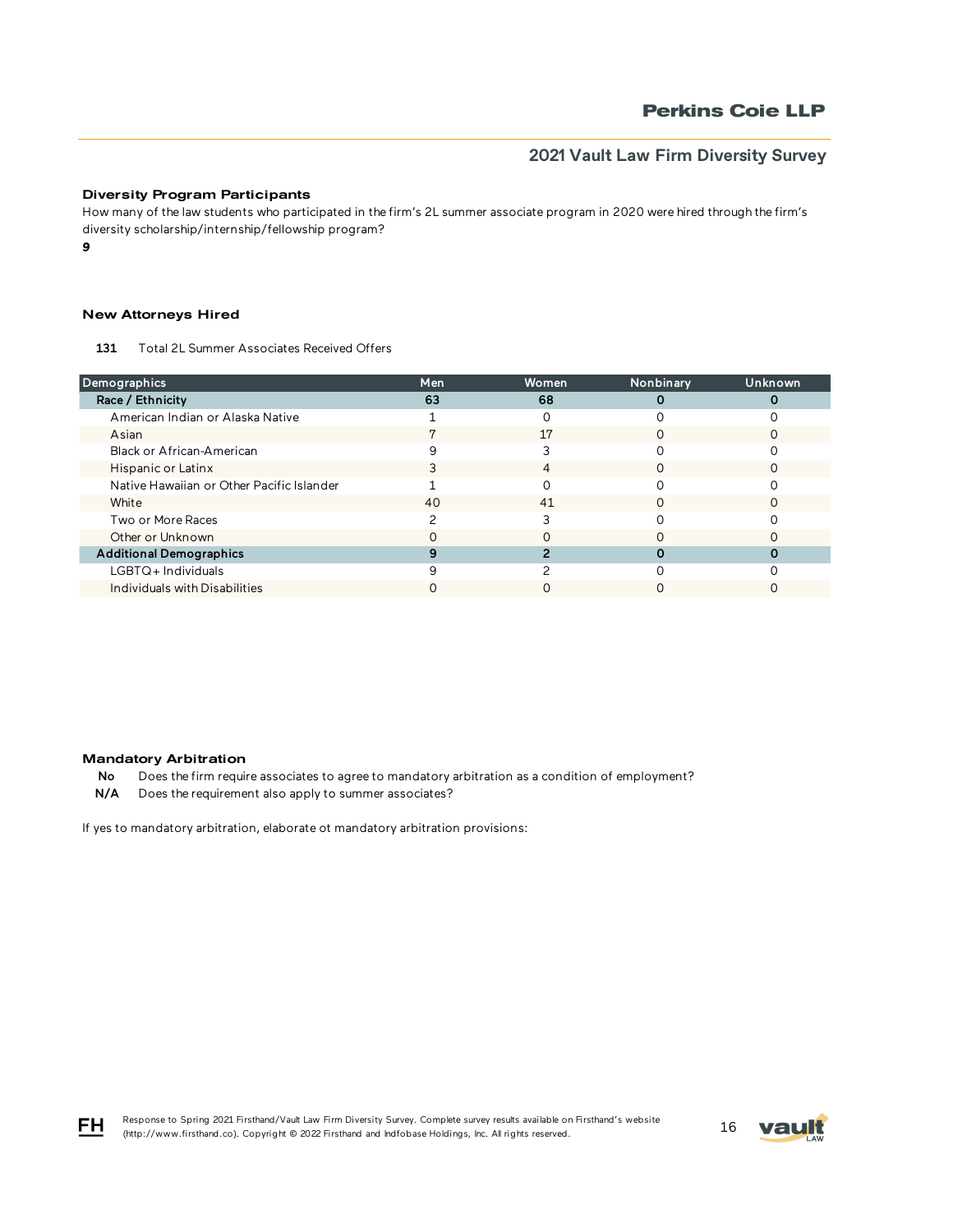### Diversity Program Participants

How many of the law students who participated in the firm's 2L summer associate program in 2020 were hired through the firm's diversity scholarship/internship/fellowship program?

*9*

## New Attorneys Hired

131 Total 2L Summer Associates Received Offers

| Demographics                              | Men | Women | Nonbinary | Unknown |
|-------------------------------------------|-----|-------|-----------|---------|
| Race / Ethnicity                          | 63  | 68    |           |         |
| American Indian or Alaska Native          |     |       |           |         |
| Asian                                     |     | 17    |           |         |
| Black or African-American                 | 9   |       |           |         |
| Hispanic or Latinx                        |     | 4     | ∩         |         |
| Native Hawaiian or Other Pacific Islander |     |       |           |         |
| White                                     | 40  | 41    |           |         |
| Two or More Races                         |     |       |           |         |
| Other or Unknown                          |     |       |           |         |
| <b>Additional Demographics</b>            |     |       |           |         |
| $LGBTQ+$ Individuals                      |     |       |           |         |
| Individuals with Disabilities             |     |       |           |         |

#### Mandatory Arbitration

No Does the firm require associates to agree to mandatory arbitration as a condition of employment?

N/A Does the requirement also apply to summer associates?

If yes to mandatory arbitration, elaborate ot mandatory arbitration provisions:



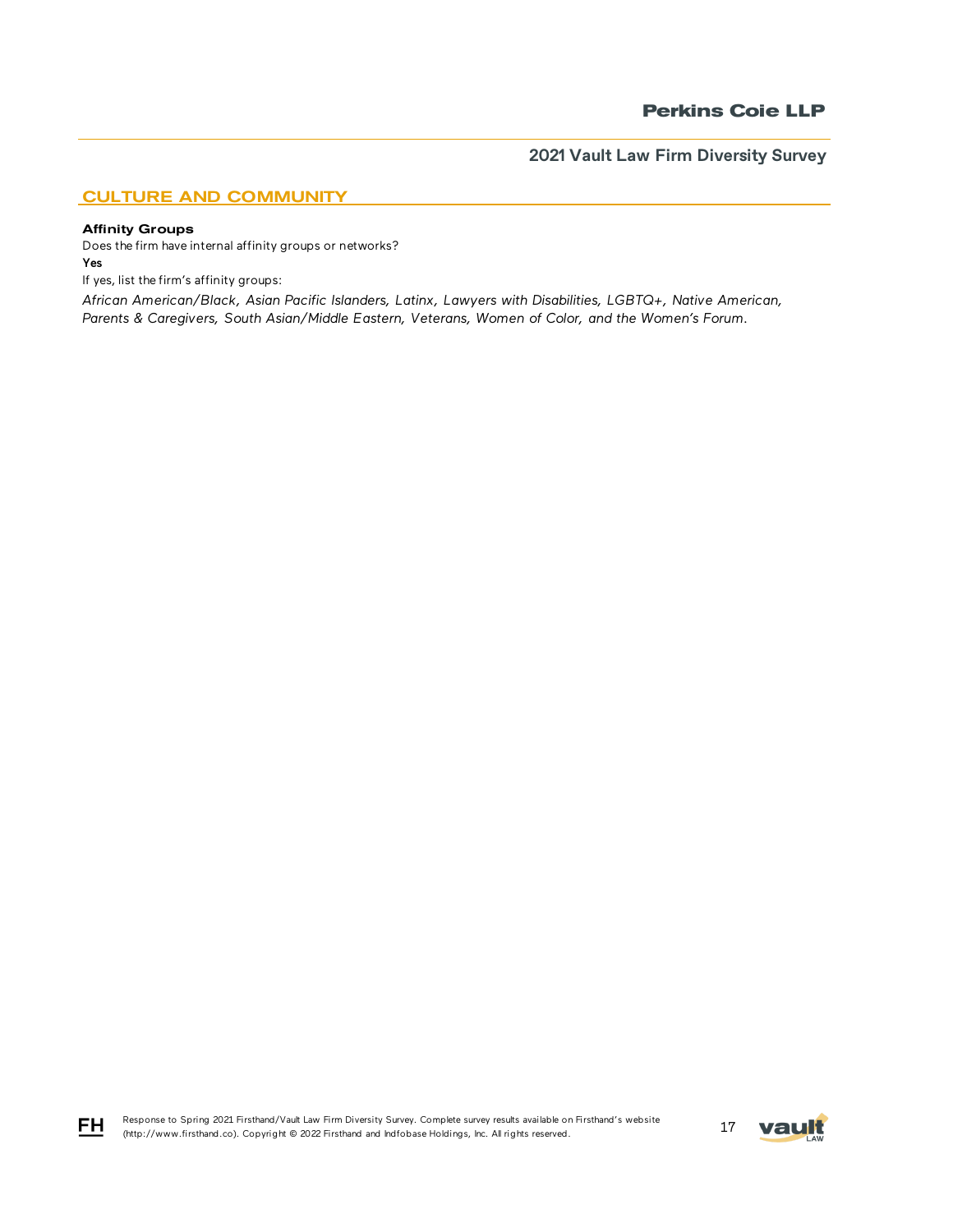# CULTURE AND COMMUNITY

### Affinity Groups

Does the firm have internal affinity groups or networks? Yes

If yes, list the firm's affinity groups:

*African American/Black, Asian Pacific Islanders, Latinx, Lawyers with Disabilities, LGBTQ+, Native American, Parents & Caregivers, South Asian/Middle Eastern, Veterans, Women of Color, and the Women's Forum.*



$$
\mathsf{F}\mathsf{H}
$$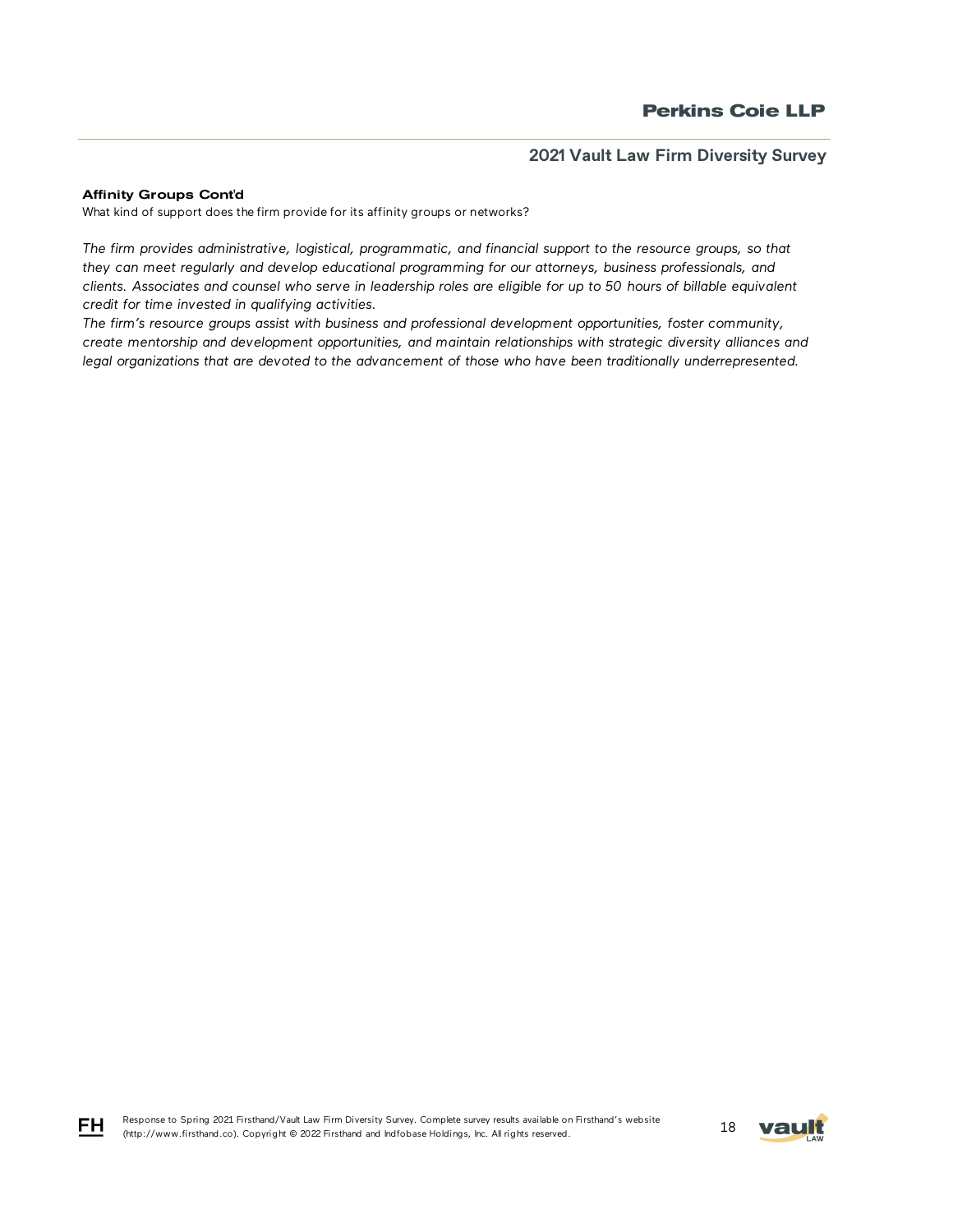### Affinity Groups Cont'd

What kind of support does the firm provide for its affinity groups or networks?

*The firm provides administrative, logistical, programmatic, and financial support to the resource groups, so that they can meet regularly and develop educational programming for our attorneys, business professionals, and clients. Associates and counsel who serve in leadership roles are eligible for up to 50 hours of billable equivalent credit for time invested in qualifying activities.* 

*The firm's resource groups assist with business and professional development opportunities, foster community, create mentorship and development opportunities, and maintain relationships with strategic diversity alliances and legal organizations that are devoted to the advancement of those who have been traditionally underrepresented.*



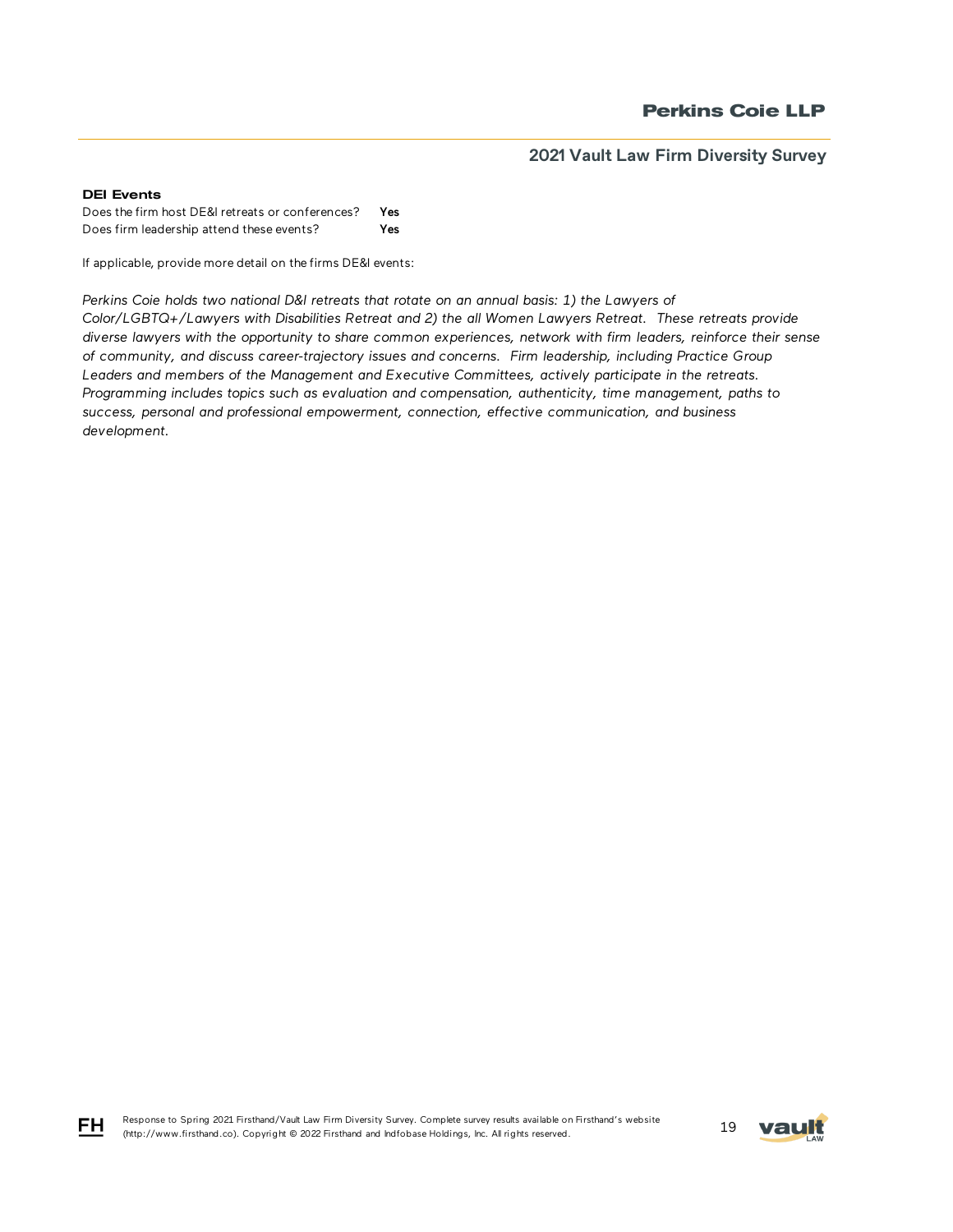#### DEI Events

Does the firm host DE&I retreats or conferences? Yes Does firm leadership attend these events? Yes

If applicable, provide more detail on the firms DE&I events:

Perkins Coie holds two national D&I retreats that rotate on an annual basis: 1) the Lawyers of *Color/LGBTQ+/Lawyers with Disabilities Retreat and 2) the all Women Lawyers Retreat. These retreats provide diverse lawyers with the opportunity to share common experiences, network with firm leaders, reinforce their sense of community, and discuss career-trajectory issues and concerns. Firm leadership, including Practice Group Leaders and members of the Management and Executive Committees, actively participate in the retreats. Programming includes topics such as evaluation and compensation, authenticity, time management, paths to success, personal and professional empowerment, connection, effective communication, and business development.*



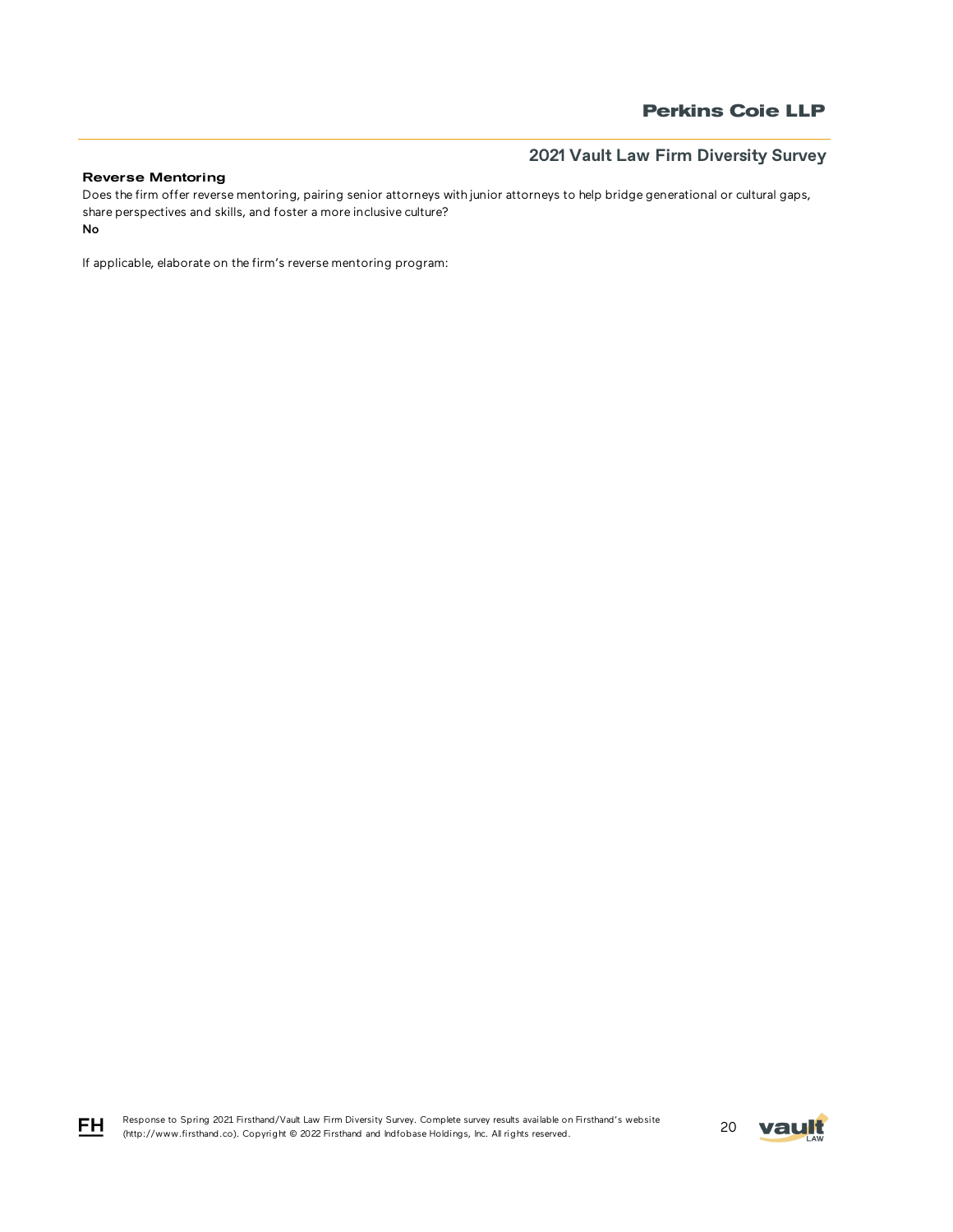## Reverse Mentoring

No Does the firm offer reverse mentoring, pairing senior attorneys with junior attorneys to help bridge generational or cultural gaps, share perspectives and skills, and foster a more inclusive culture?

If applicable, elaborate on the firm's reverse mentoring program:

Response to Spring 2021 Firsthand/Vault Law Firm Diversity Survey. Complete survey results available on Firsthand's website Response to Spring 2021 Firstnand/vault Law Firm Diversity Survey. Complete survey results available on Firstnand's website<br>(http://www.firsthand.co). Copyright © 2022 Firsthand and Indfobase Holdings, Inc. All rights rese



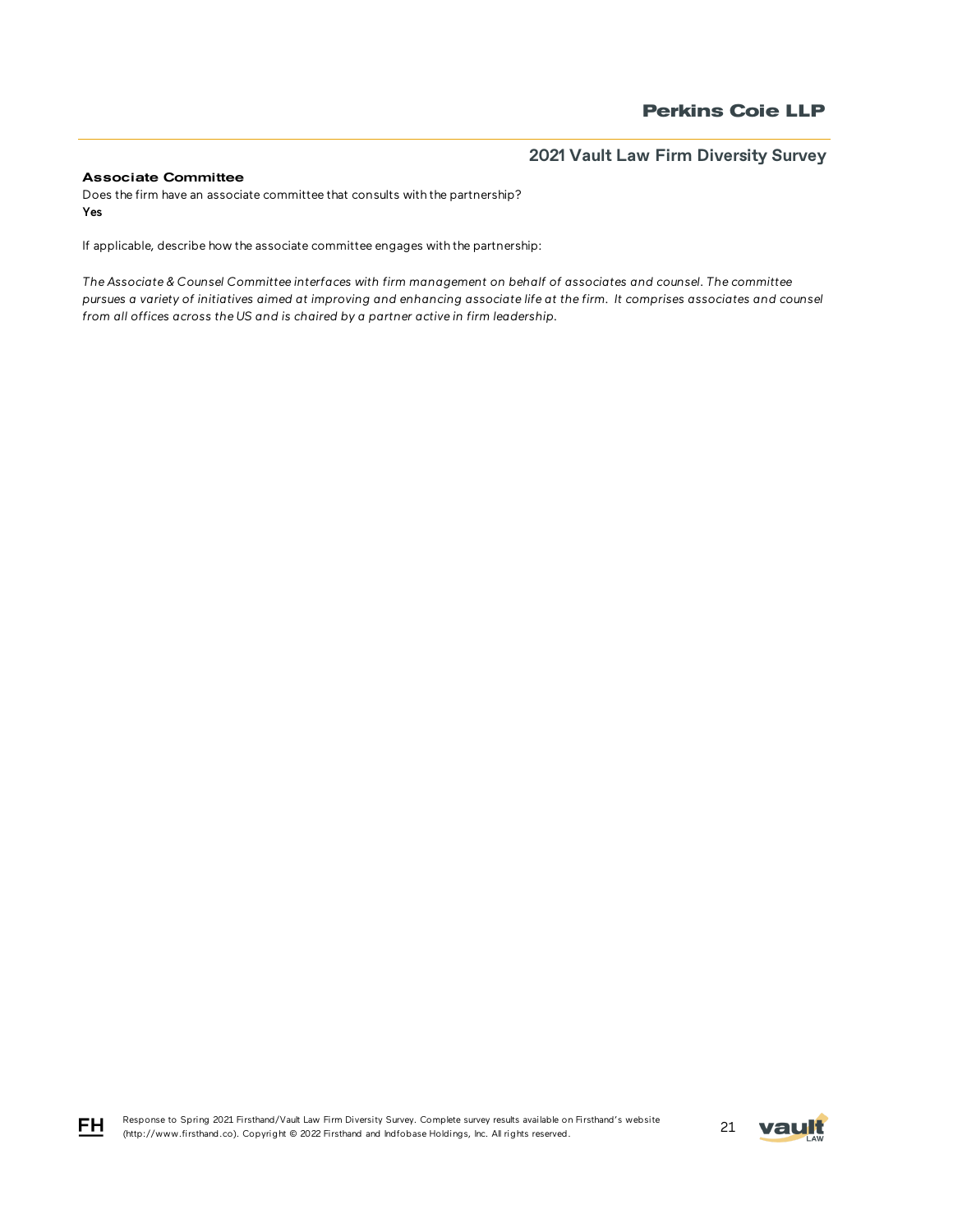### Associate Committee

Does the firm have an associate committee that consults with the partnership? Yes

If applicable, describe how the associate committee engages with the partnership:

*The Associate & Counsel Committee interfaces with firm management on behalf of associates and counsel. The committee pursues a variety of initiatives aimed at improving and enhancing associate life at the firm. It comprises associates and counsel from all offices across the US and is chaired by a partner active in firm leadership.* 



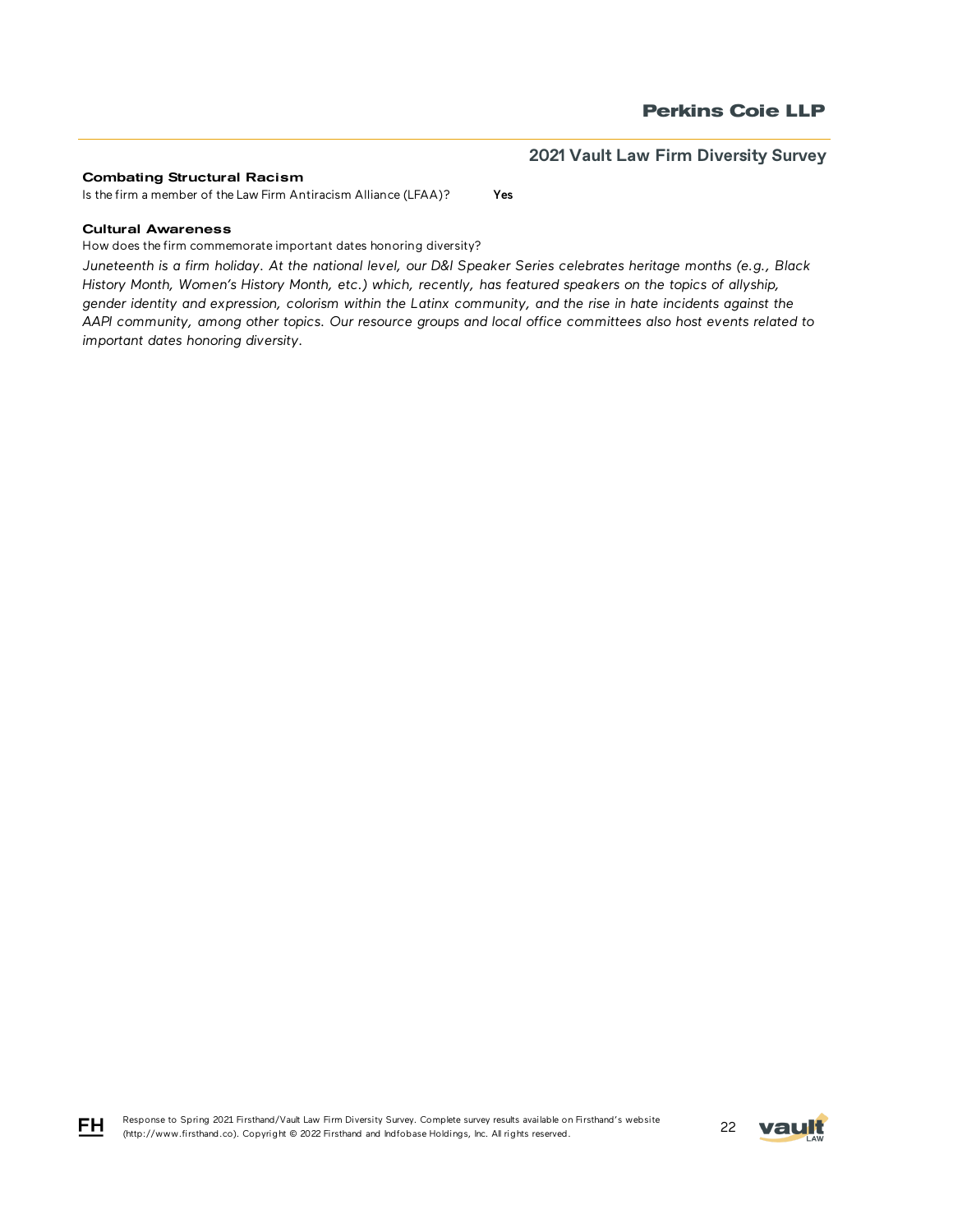#### Combating Structural Racism

Is the firm a member of the Law Firm Antiracism Alliance (LFAA)? Yes

### Cultural Awareness

How does the firm commemorate important dates honoring diversity?

*Juneteenth is a firm holiday. At the national level, our D&I Speaker Series celebrates heritage months (e.g., Black History Month, Women's History Month, etc.) which, recently, has featured speakers on the topics of allyship, gender identity and expression, colorism within the Latinx community, and the rise in hate incidents against the AAPI community, among other topics. Our resource groups and local office committees also host events related to important dates honoring diversity.*





FH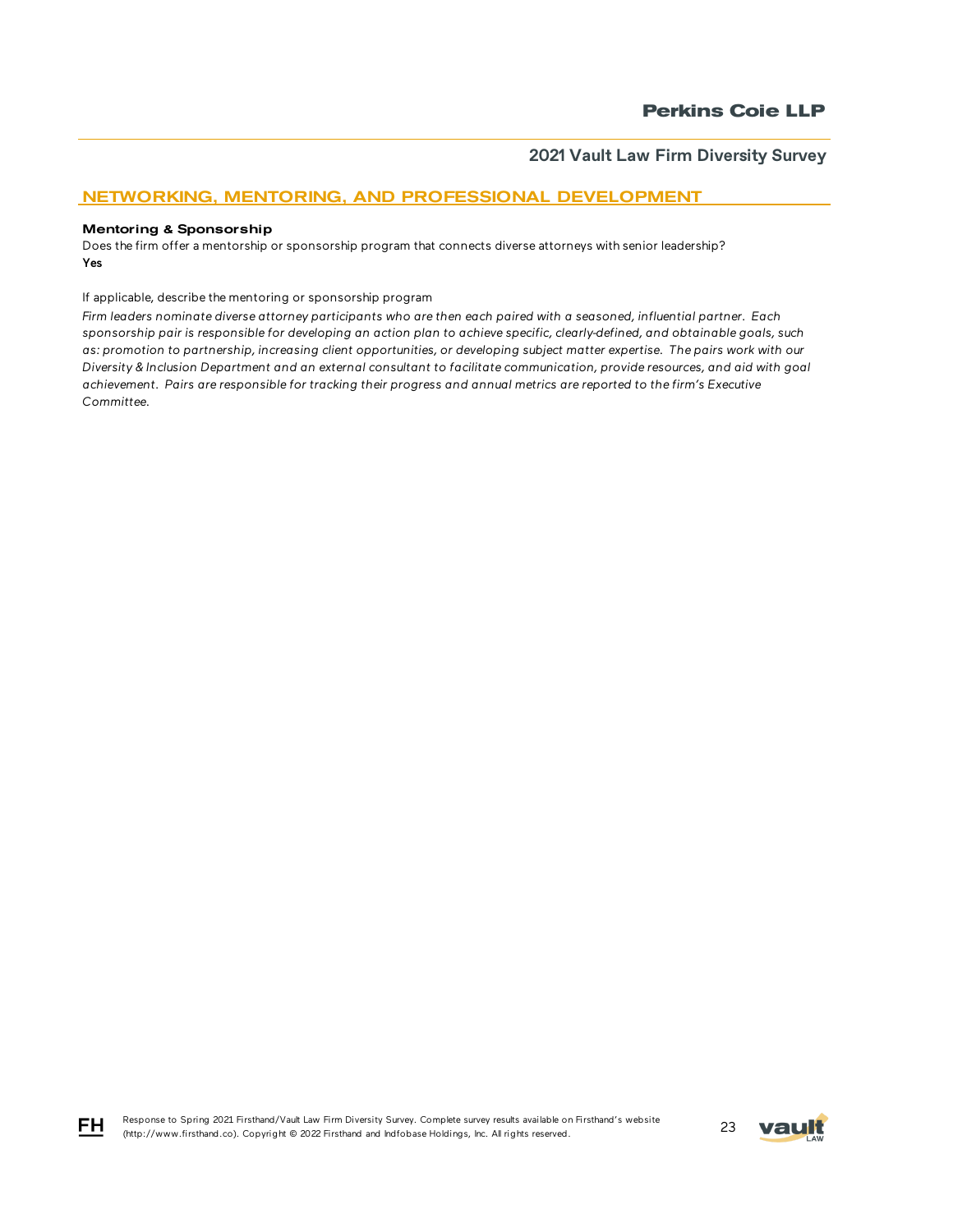# NETWORKING, MENTORING, AND PROFESSIONAL DEVELOPMENT

#### Mentoring & Sponsorship

Does the firm offer a mentorship or sponsorship program that connects diverse attorneys with senior leadership? Yes

If applicable, describe the mentoring or sponsorship program

*Firm leaders nominate diverse attorney participants who are then each paired with a seasoned, influential partner. Each sponsorship pair is responsible for developing an action plan to achieve specific, clearly-defined, and obtainable goals, such as: promotion to partnership, increasing client opportunities, or developing subject matter expertise. The pairs work with our Diversity & Inclusion Department and an external consultant to facilitate communication, provide resources, and aid with goal achievement. Pairs are responsible for tracking their progress and annual metrics are reported to the firm's Executive Committee.* 





$$
\overline{\mathsf{F}}\mathsf{F}
$$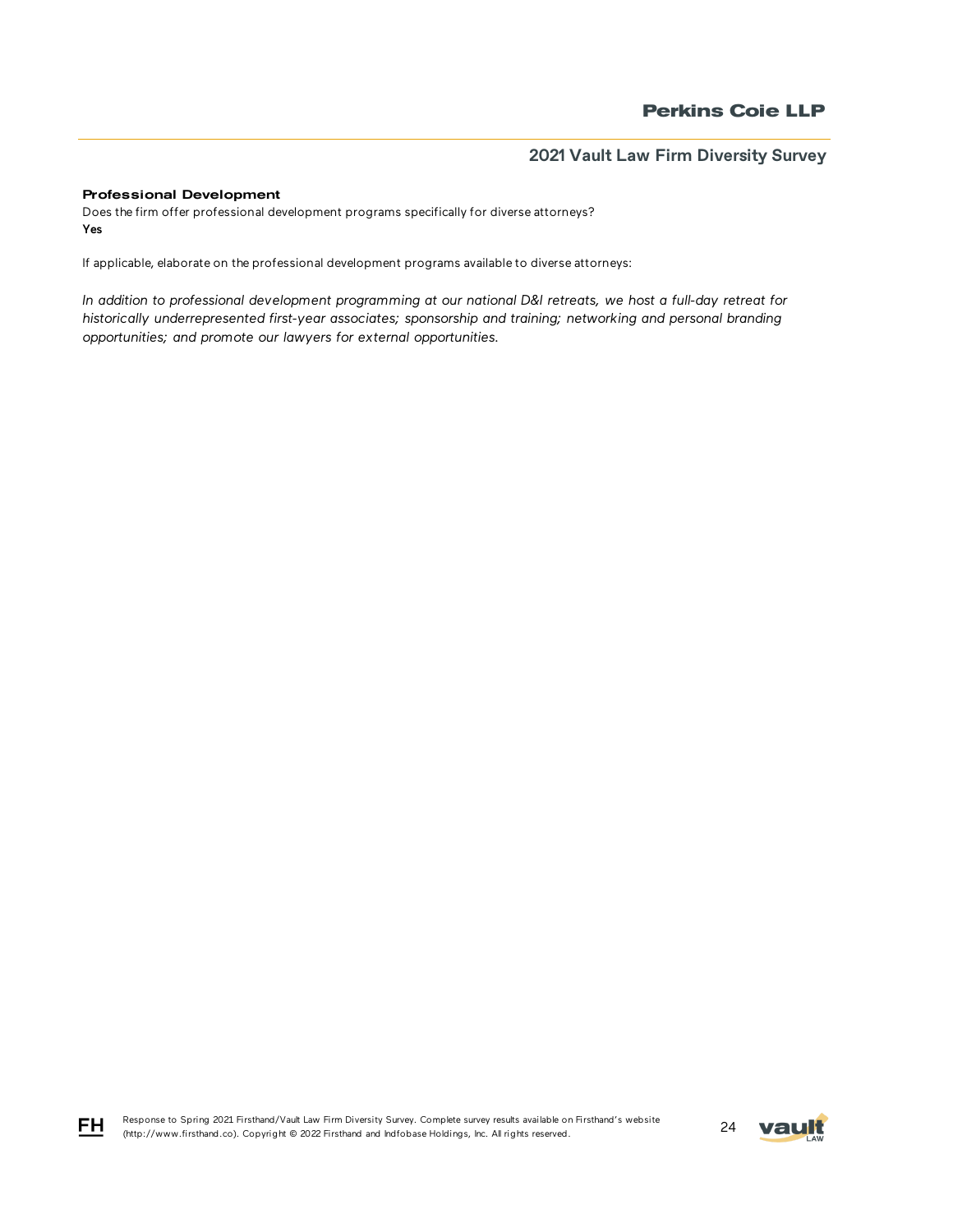### Professional Development

Does the firm offer professional development programs specifically for diverse attorneys? Yes

If applicable, elaborate on the professional development programs available to diverse attorneys:

*In addition to professional development programming at our national D&I retreats, we host a full-day retreat for historically underrepresented first-year associates; sponsorship and training; networking and personal branding opportunities; and promote our lawyers for external opportunities.*



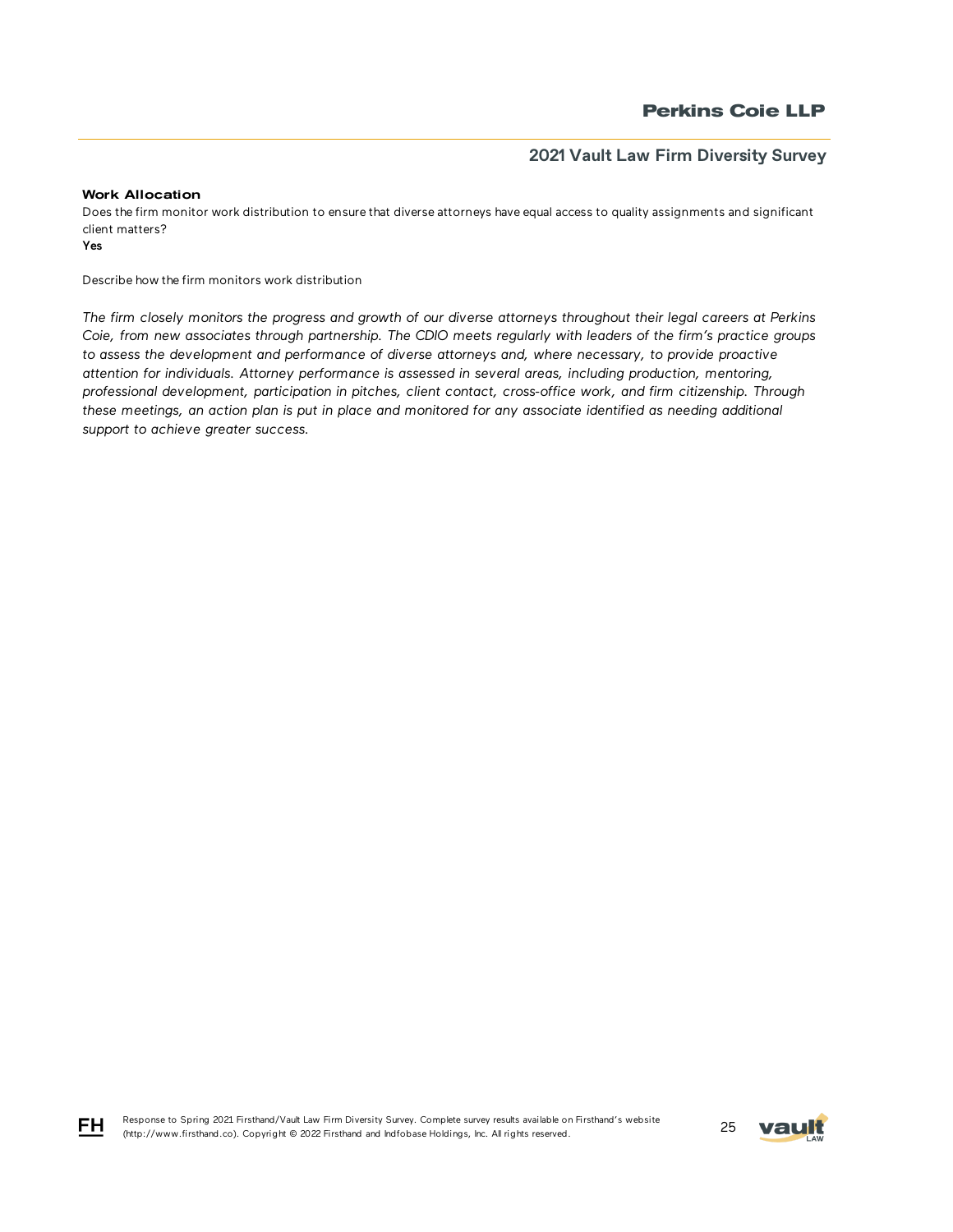### Work Allocation

Does the firm monitor work distribution to ensure that diverse attorneys have equal access to quality assignments and significant client matters?

Yes

FH

Describe how the firm monitors work distribution

*The firm closely monitors the progress and growth of our diverse attorneys throughout their legal careers at Perkins Coie, from new associates through partnership. The CDIO meets regularly with leaders of the firm's practice groups to assess the development and performance of diverse attorneys and, where necessary, to provide proactive attention for individuals. Attorney performance is assessed in several areas, including production, mentoring, professional development, participation in pitches, client contact, cross-office work, and firm citizenship. Through*  these meetings, an action plan is put in place and monitored for any associate identified as needing additional *support to achieve greater success.*

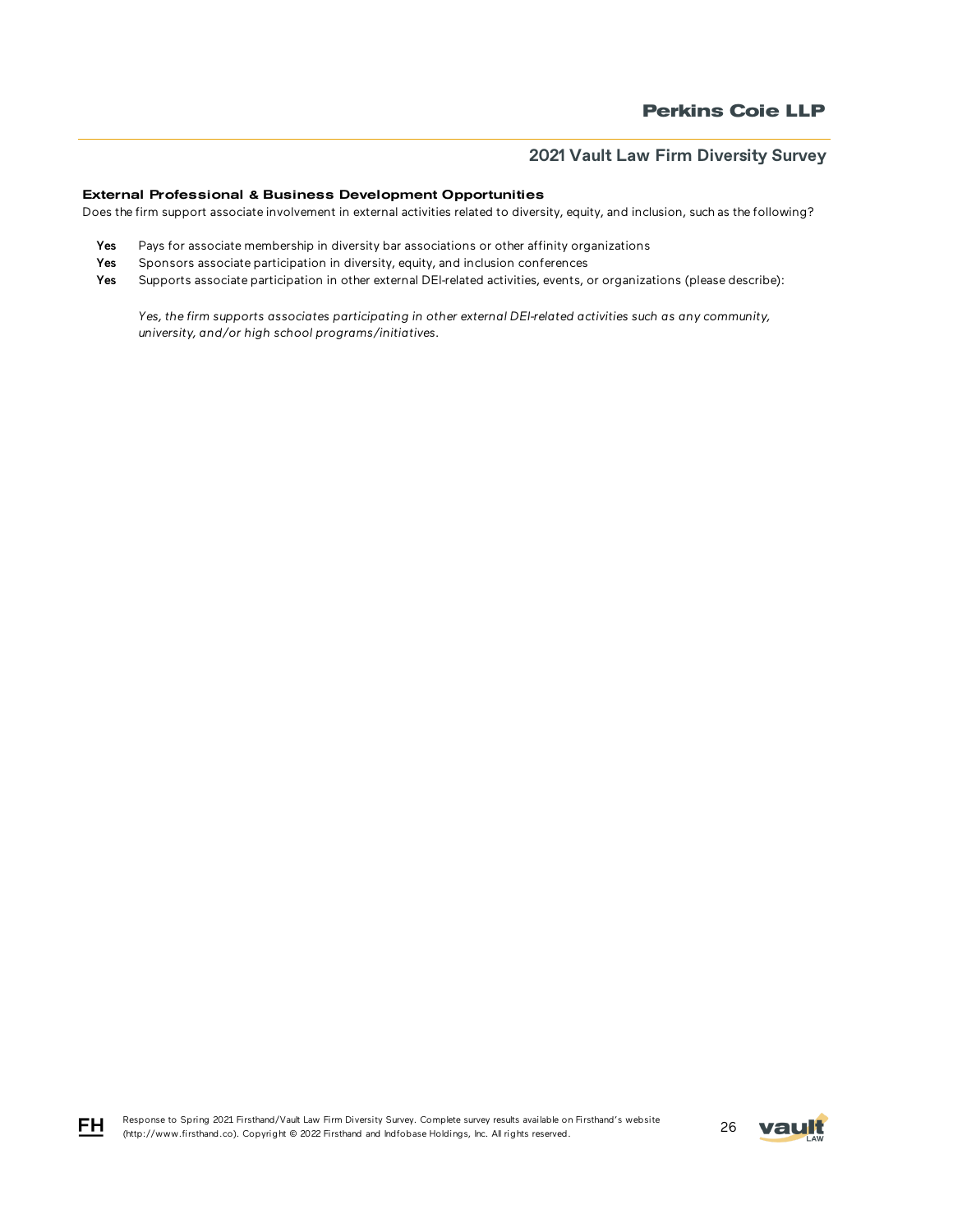### External Professional & Business Development Opportunities

Does the firm support associate involvement in external activities related to diversity, equity, and inclusion, such as the following?

- Yes Pays for associate membership in diversity bar associations or other affinity organizations
- Yes Sponsors associate participation in diversity, equity, and inclusion conferences
- Yes Supports associate participation in other external DEI-related activities, events, or organizations (please describe):

*Yes, the firm supports associates participating in other external DEI-related activities such as any community, university, and/or high school programs/initiatives.*



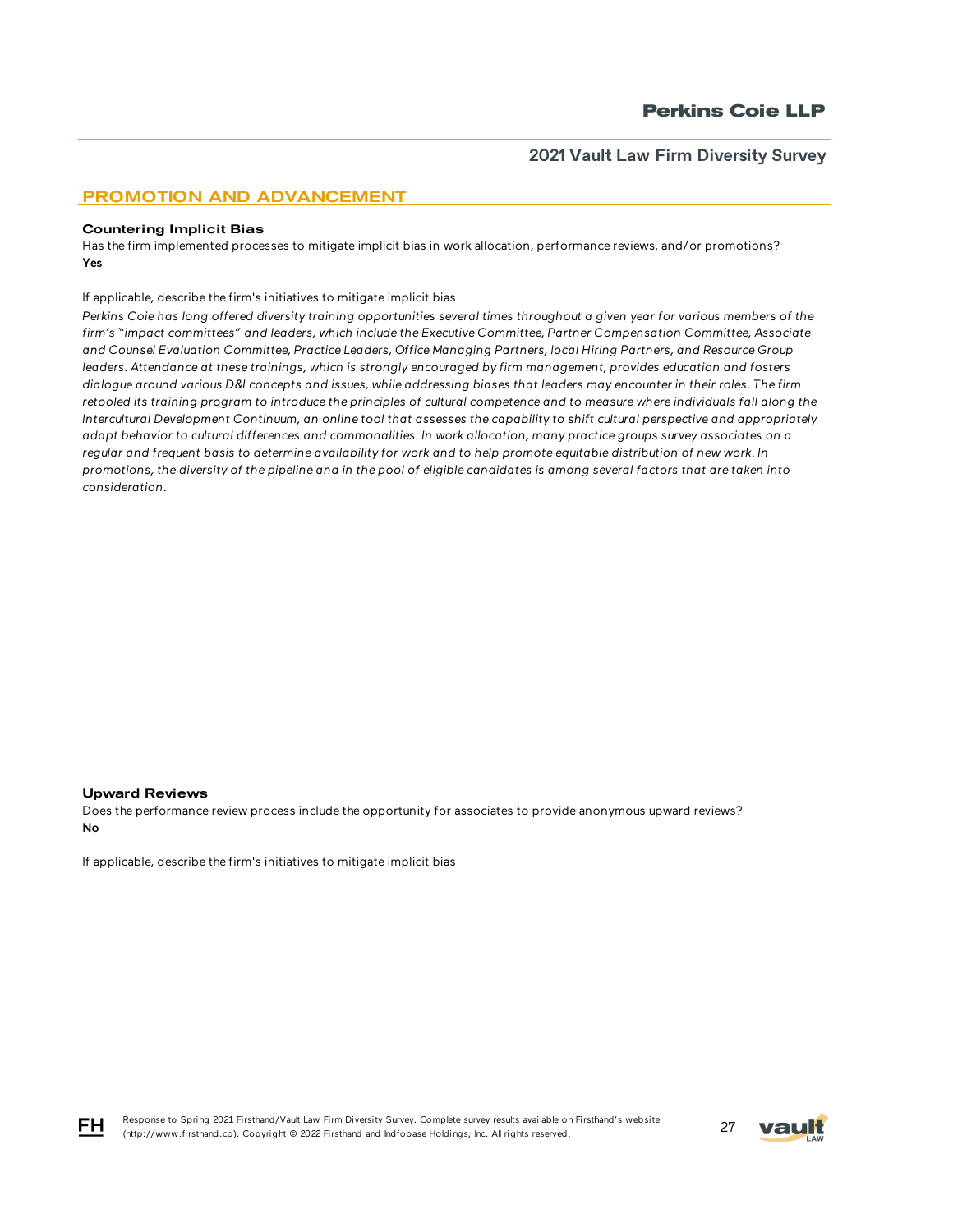## PROMOTION AND ADVANCEMENT

#### Countering Implicit Bias

Has the firm implemented processes to mitigate implicit bias in work allocation, performance reviews, and/or promotions? Yes

If applicable, describe the firm's initiatives to mitigate implicit bias

*Perkins Coie has long offered diversity training opportunities several times throughout a given year for various members of the firm's "impact committees" and leaders, which include the Executive Committee, Partner Compensation Committee, Associate and Counsel Evaluation Committee, Practice Leaders, Office Managing Partners, local Hiring Partners, and Resource Group*  leaders. Attendance at these trainings, which is strongly encouraged by firm management, provides education and fosters *dialogue around various D&I concepts and issues, while addressing biases that leaders may encounter in their roles. The firm retooled its training program to introduce the principles of cultural competence and to measure where individuals fall along the Intercultural Development Continuum, an online tool that assesses the capability to shift cultural perspective and appropriately adapt behavior to cultural differences and commonalities. In work allocation, many practice groups survey associates on a regular and frequent basis to determine availability for work and to help promote equitable distribution of new work. In promotions, the diversity of the pipeline and in the pool of eligible candidates is among several factors that are taken into consideration.* 

#### Upward Reviews

Does the performance review process include the opportunity for associates to provide anonymous upward reviews? No

If applicable, describe the firm's initiatives to mitigate implicit bias



FH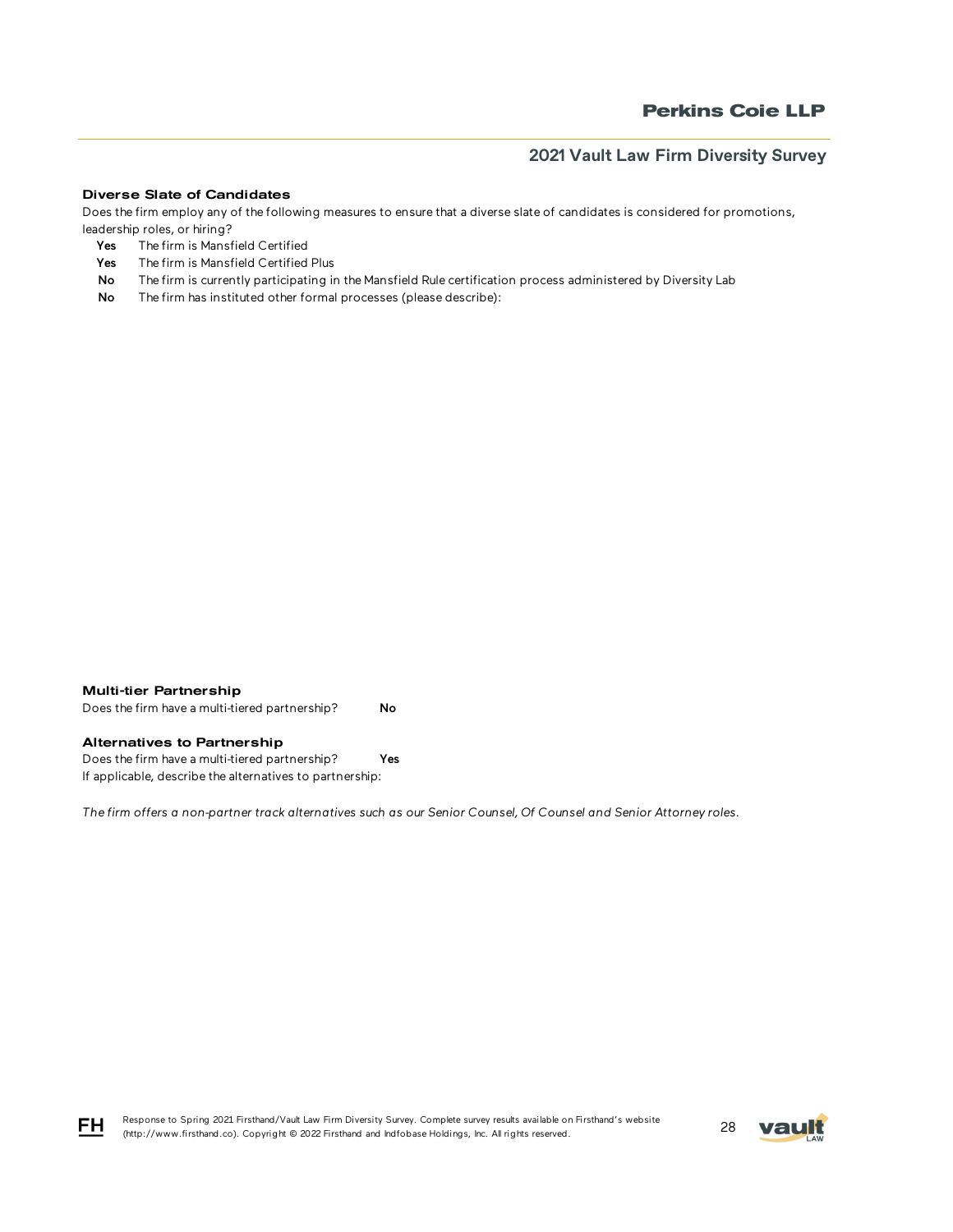#### Diverse Slate of Candidates

Does the firm employ any of the following measures to ensure that a diverse slate of candidates is considered for promotions, leadership roles, or hiring?

- Yes The firm is Mansfield Certified
- Yes The firm is Mansfield Certified Plus
- No The firm is currently participating in the Mansfield Rule certification process administered by Diversity Lab
- No The firm has instituted other formal processes (please describe):



Does the firm have a multi-tiered partnership? No

### Alternatives to Partnership

Does the firm have a multi-tiered partnership? Yes If applicable, describe the alternatives to partnership:

*The firm offers a non-partner track alternatives such as our Senior Counsel, Of Counsel and Senior Attorney roles.*

Response to Spring 2021 Firsthand/Vault Law Firm Diversity Survey. Complete survey results available on Firsthand's website Response to Spring 2021 Firsthand/vault Law Firm Diversity Survey. Complete survey results available on Firsthand's website<br>(http://www.firsthand.co). Copyright © 2022 Firsthand and Indfobase Holdings, Inc. All rights rese

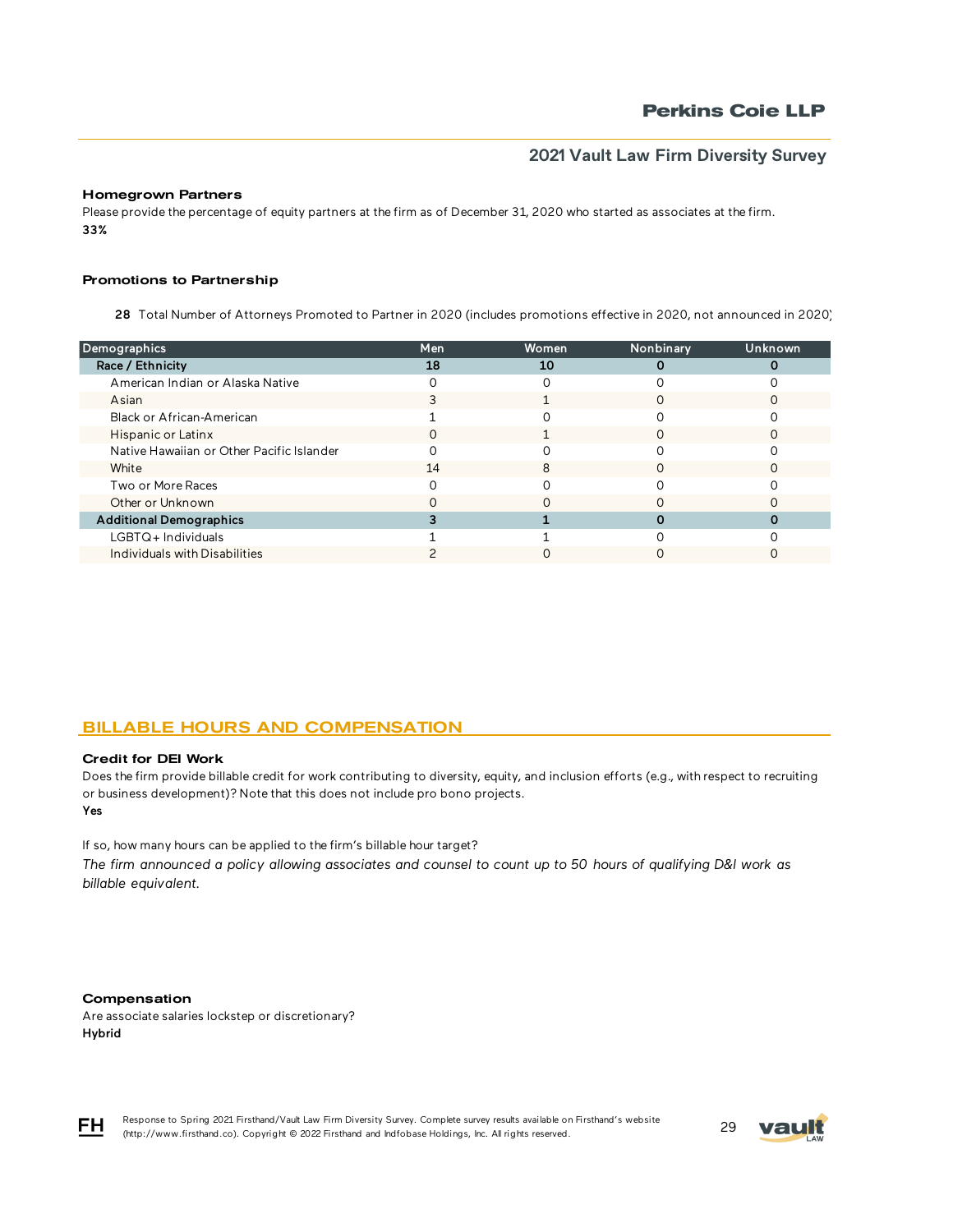### Homegrown Partners

Please provide the percentage of equity partners at the firm as of December 31, 2020 who started as associates at the firm. 33%

#### Promotions to Partnership

28 Total Number of Attorneys Promoted to Partner in 2020 (includes promotions effective in 2020, not announced in 2020)

| Demographics                              | Men | Women | Nonbinary | <b>Unknown</b> |
|-------------------------------------------|-----|-------|-----------|----------------|
| Race / Ethnicity                          | 18  | 10    |           |                |
| American Indian or Alaska Native          |     |       |           |                |
| Asian                                     |     |       |           |                |
| Black or African-American                 |     |       |           |                |
| Hispanic or Latinx                        |     |       |           |                |
| Native Hawaiian or Other Pacific Islander |     |       |           |                |
| White                                     | 14  | 8     |           |                |
| Two or More Races                         |     |       |           |                |
| Other or Unknown                          |     |       |           |                |
| <b>Additional Demographics</b>            |     |       |           |                |
| $LGBTQ+$ Individuals                      |     |       |           |                |
| Individuals with Disabilities             |     |       |           |                |
|                                           |     |       |           |                |

# BILLABLE HOURS AND COMPENSATION

#### Credit for DEI Work

Yes Does the firm provide billable credit for work contributing to diversity, equity, and inclusion efforts (e.g., with respect to recruiting or business development)? Note that this does not include pro bono projects.

If so, how many hours can be applied to the firm's billable hour target?

*The firm announced a policy allowing associates and counsel to count up to 50 hours of qualifying D&I work as billable equivalent.*

#### Compensation

Are associate salaries lockstep or discretionary? Hybrid



Response to Spring 2021 Firsthand/Vault Law Firm Diversity Survey. Complete survey results available on Firsthand's website Response to Spring 2021 Firsthand/Vault Law Firm Diversity Survey. Complete survey results available on Firsthand's website<br>(http://www.firsthand.co). Copyright © 2022 Firsthand and Indfobase Holdings, Inc. All rights rese

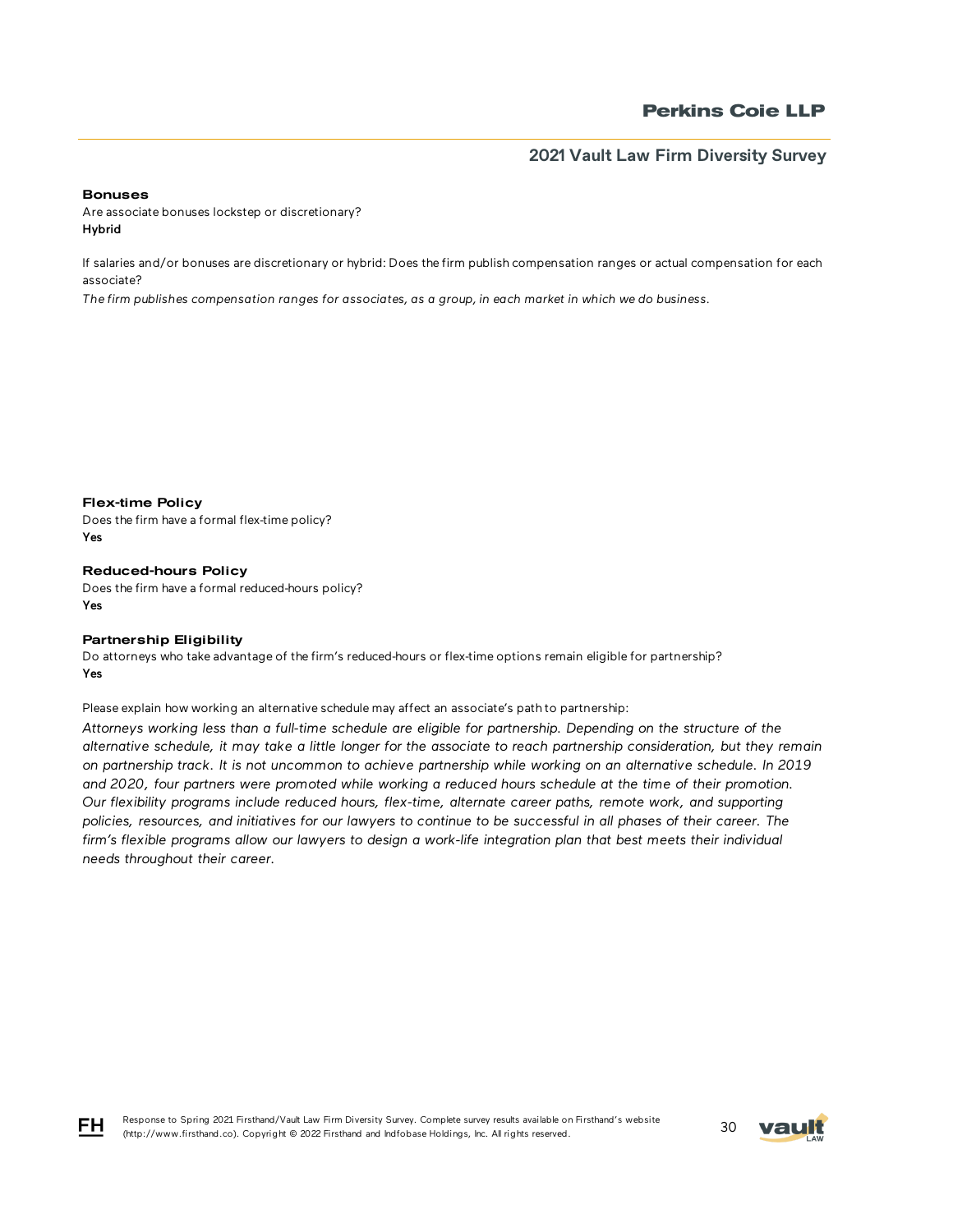#### Bonuses

Are associate bonuses lockstep or discretionary? Hybrid

If salaries and/or bonuses are discretionary or hybrid: Does the firm publish compensation ranges or actual compensation for each associate?

*The firm publishes compensation ranges for associates, as a group, in each market in which we do business.* 

Flex-time Policy

Does the firm have a formal flex-time policy? Yes

Reduced-hours Policy Does the firm have a formal reduced-hours policy? Yes

### Partnership Eligibility

Do attorneys who take advantage of the firm's reduced-hours or flex-time options remain eligible for partnership? Yes

Please explain how working an alternative schedule may affect an associate's path to partnership:

*Attorneys working less than a full-time schedule are eligible for partnership. Depending on the structure of the alternative schedule, it may take a little longer for the associate to reach partnership consideration, but they remain on partnership track. It is not uncommon to achieve partnership while working on an alternative schedule. In 2019 and 2020, four partners were promoted while working a reduced hours schedule at the time of their promotion. Our flexibility programs include reduced hours, flex-time, alternate career paths, remote work, and supporting policies, resources, and initiatives for our lawyers to continue to be successful in all phases of their career. The*  firm's flexible programs allow our lawyers to design a work-life integration plan that best meets their individual *needs throughout their career.*



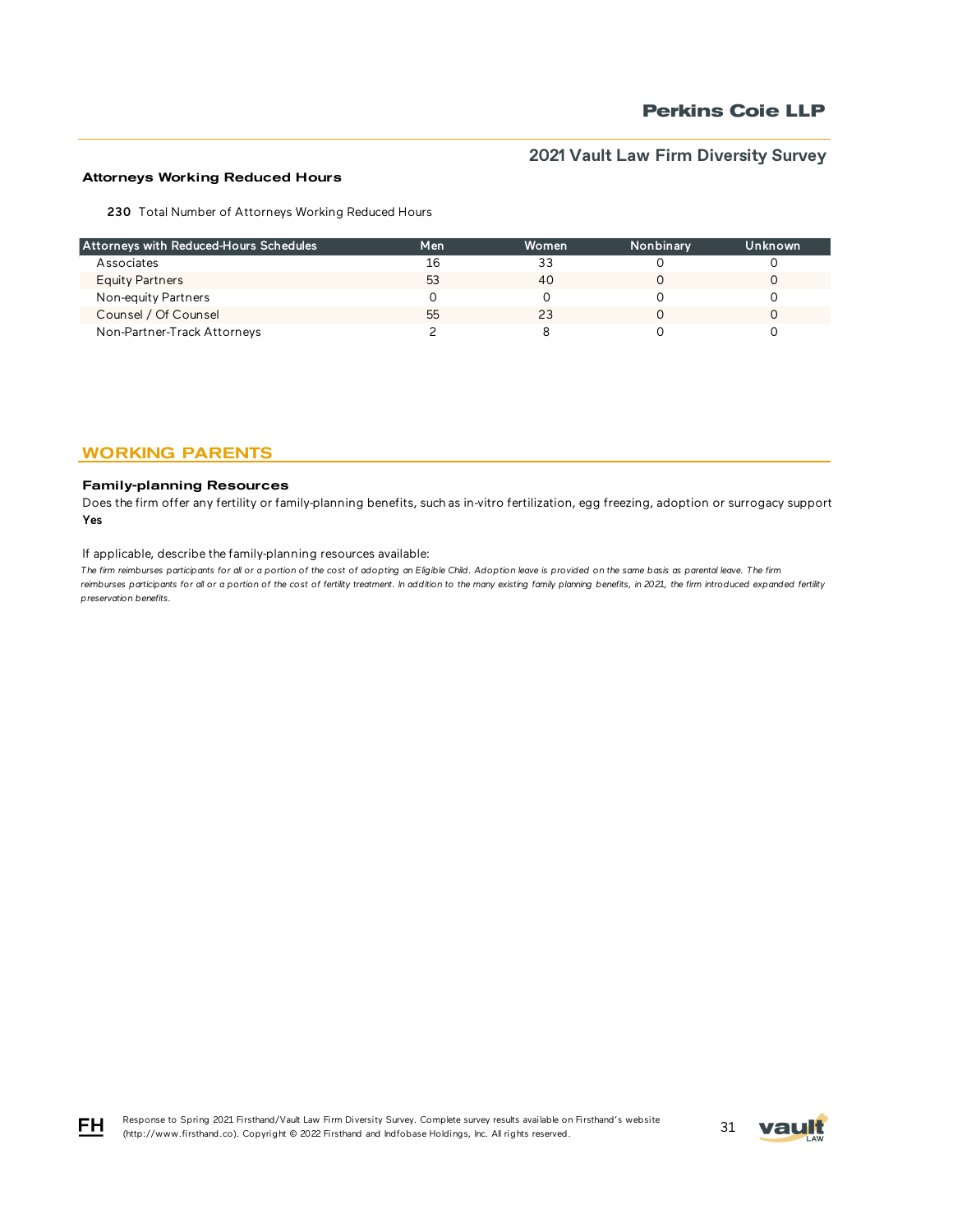## Attorneys Working Reduced Hours

230 Total Number of Attorneys Working Reduced Hours

| Attorneys with Reduced-Hours Schedules | Men | Women | Nonbinary | Unknown |
|----------------------------------------|-----|-------|-----------|---------|
| Associates                             | 16  | 33    |           |         |
| <b>Equity Partners</b>                 | 53  | 40    |           |         |
| Non-equity Partners                    |     |       |           |         |
| Counsel / Of Counsel                   | 55  | 23    |           |         |
| Non-Partner-Track Attorneys            |     |       |           |         |

# WORKING PARENTS

### Family-planning Resources

Does the firm offer any fertility or family-planning benefits, such as in-vitro fertilization, egg freezing, adoption or surrogacy support? Yes

#### If applicable, describe the family-planning resources available:

The firm reimburses participants for all or a portion of the cost of adopting an Eligible Child. Adoption leave is provided on the same basis as parental leave. The firm reimburses participants for all or a portion of the cost of fertility treatment. In addition to the many existing family planning benefits, in 2021, the firm introduced expanded fertility *preservation benefits.*



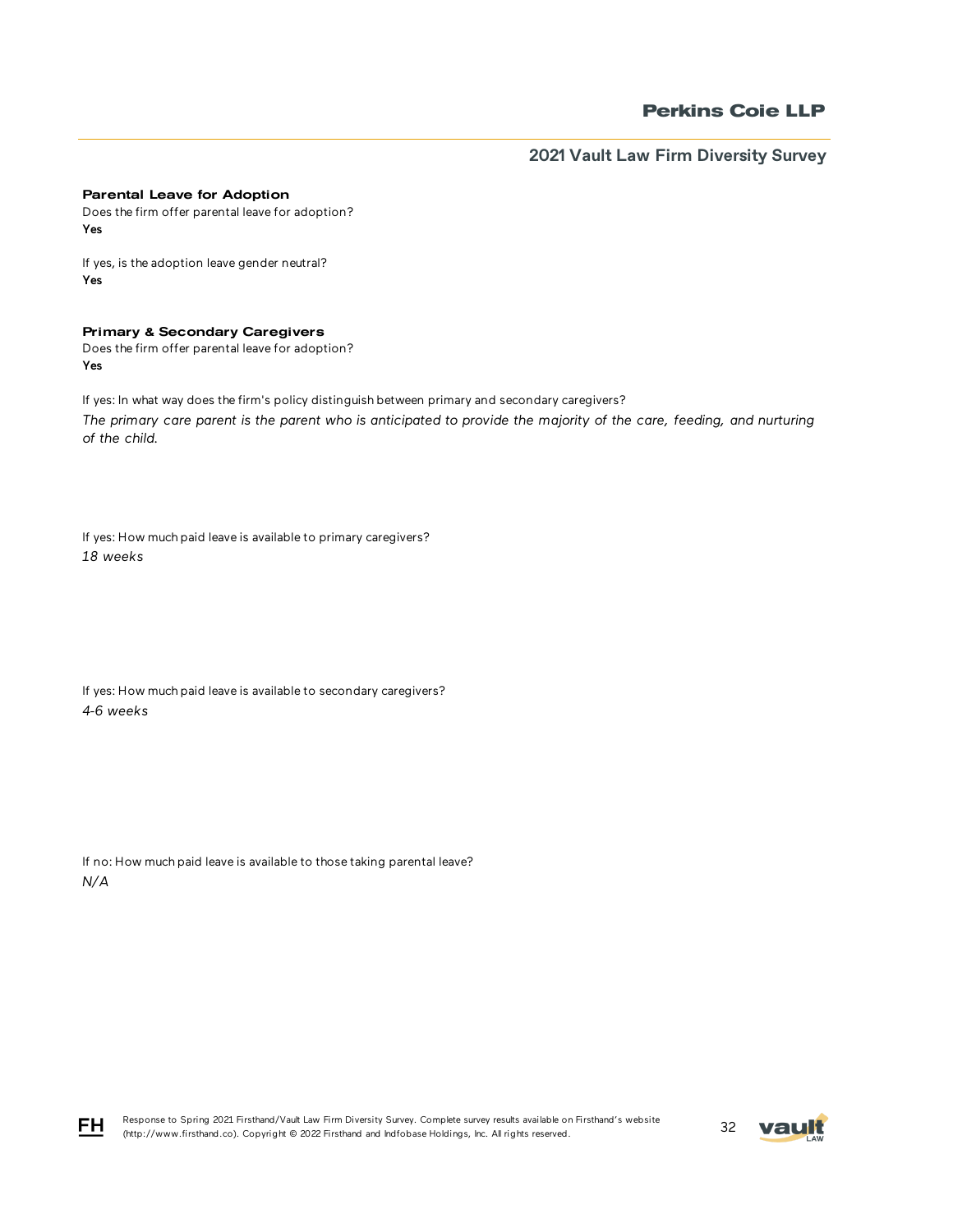### Parental Leave for Adoption

Does the firm offer parental leave for adoption? Yes

If yes, is the adoption leave gender neutral? Yes

## Primary & Secondary Caregivers

Does the firm offer parental leave for adoption? Yes

If yes: In what way does the firm's policy distinguish between primary and secondary caregivers? *The primary care parent is the parent who is anticipated to provide the majority of the care, feeding, and nurturing of the child.* 

If yes: How much paid leave is available to primary caregivers? *18 weeks*

If yes: How much paid leave is available to secondary caregivers? *4-6 weeks*

If no: How much paid leave is available to those taking parental leave? *N/A*



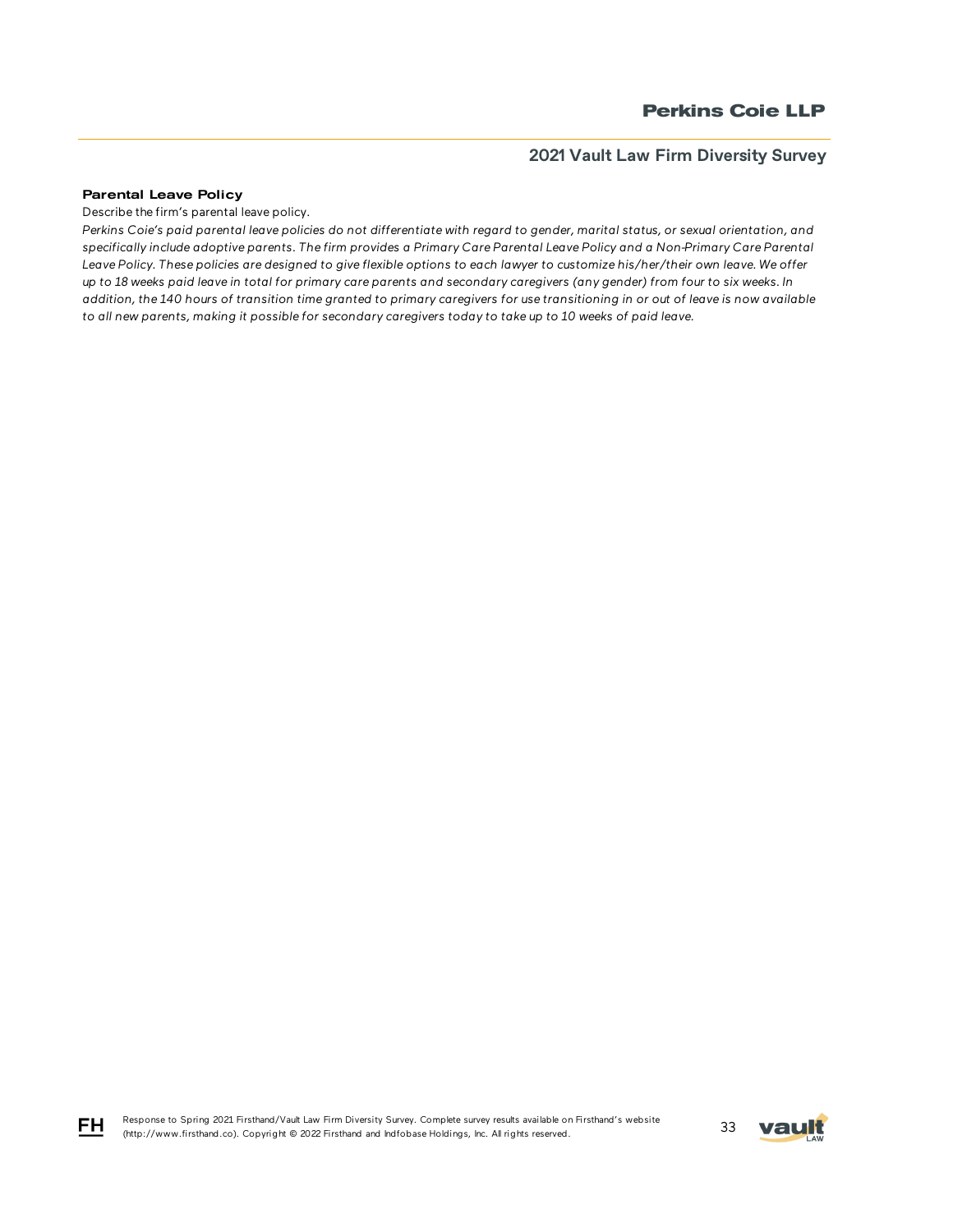#### Parental Leave Policy

FH

Describe the firm's parental leave policy.

*Perkins Coie's paid parental leave policies do not differentiate with regard to gender, marital status, or sexual orientation, and specifically include adoptive parents. The firm provides a Primary Care Parental Leave Policy and a Non-Primary Care Parental Leave Policy. These policies are designed to give flexible options to each lawyer to customize his/her/their own leave. We offer up to 18 weeks paid leave in total for primary care parents and secondary caregivers (any gender) from four to six weeks. In addition, the 140 hours of transition time granted to primary caregivers for use transitioning in or out of leave is now available to all new parents, making it possible for secondary caregivers today to take up to 10 weeks of paid leave.*

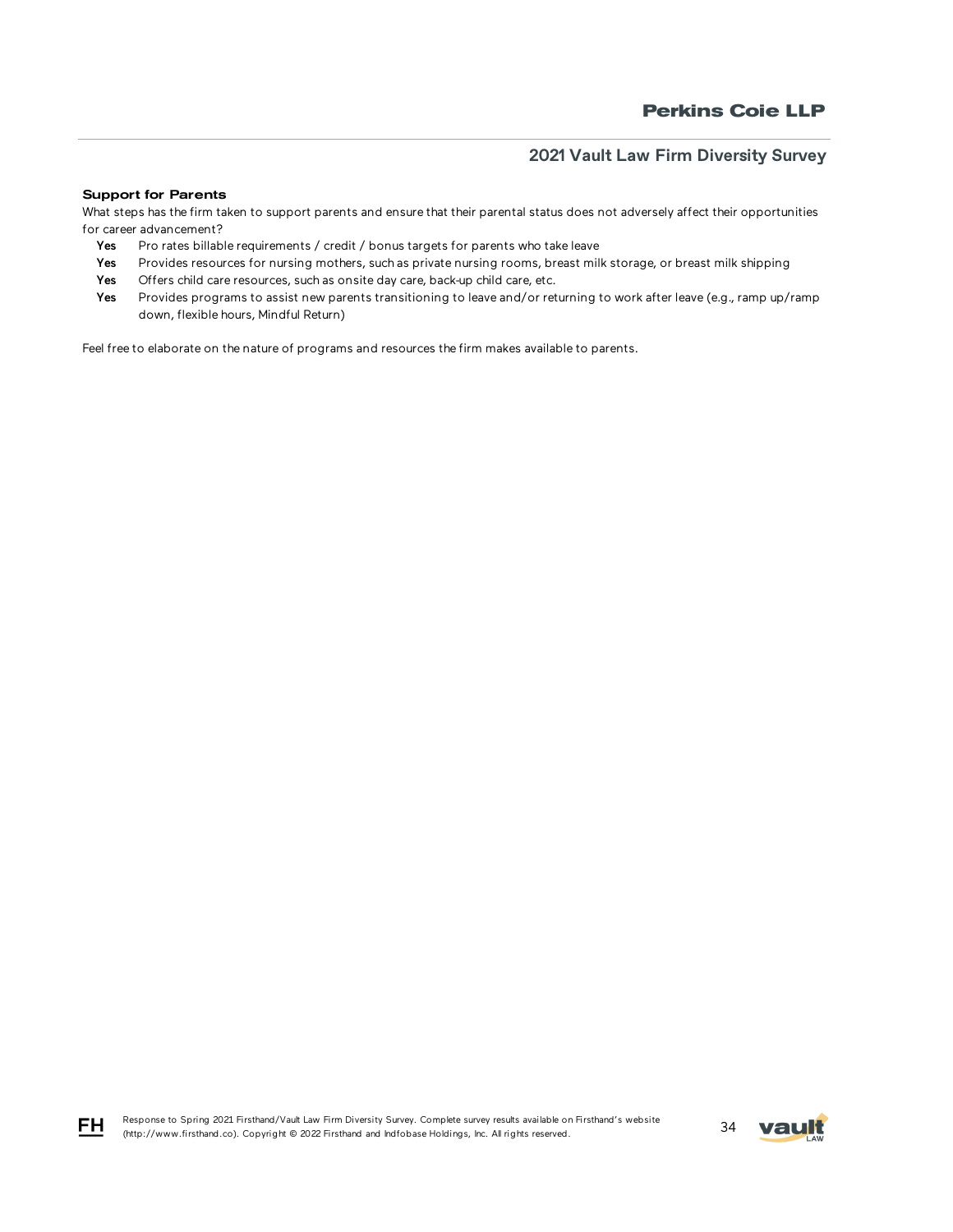#### Support for Parents

What steps has the firm taken to support parents and ensure that their parental status does not adversely affect their opportunities for career advancement?

- Yes Pro rates billable requirements / credit / bonus targets for parents who take leave
- Yes Provides resources for nursing mothers, such as private nursing rooms, breast milk storage, or breast milk shipping
- Yes Offers child care resources, such as onsite day care, back-up child care, etc.
- Yes Provides programs to assist new parents transitioning to leave and/or returning to work after leave (e.g., ramp up/ramp down, flexible hours, Mindful Return)

Feel free to elaborate on the nature of programs and resources the firm makes available to parents.





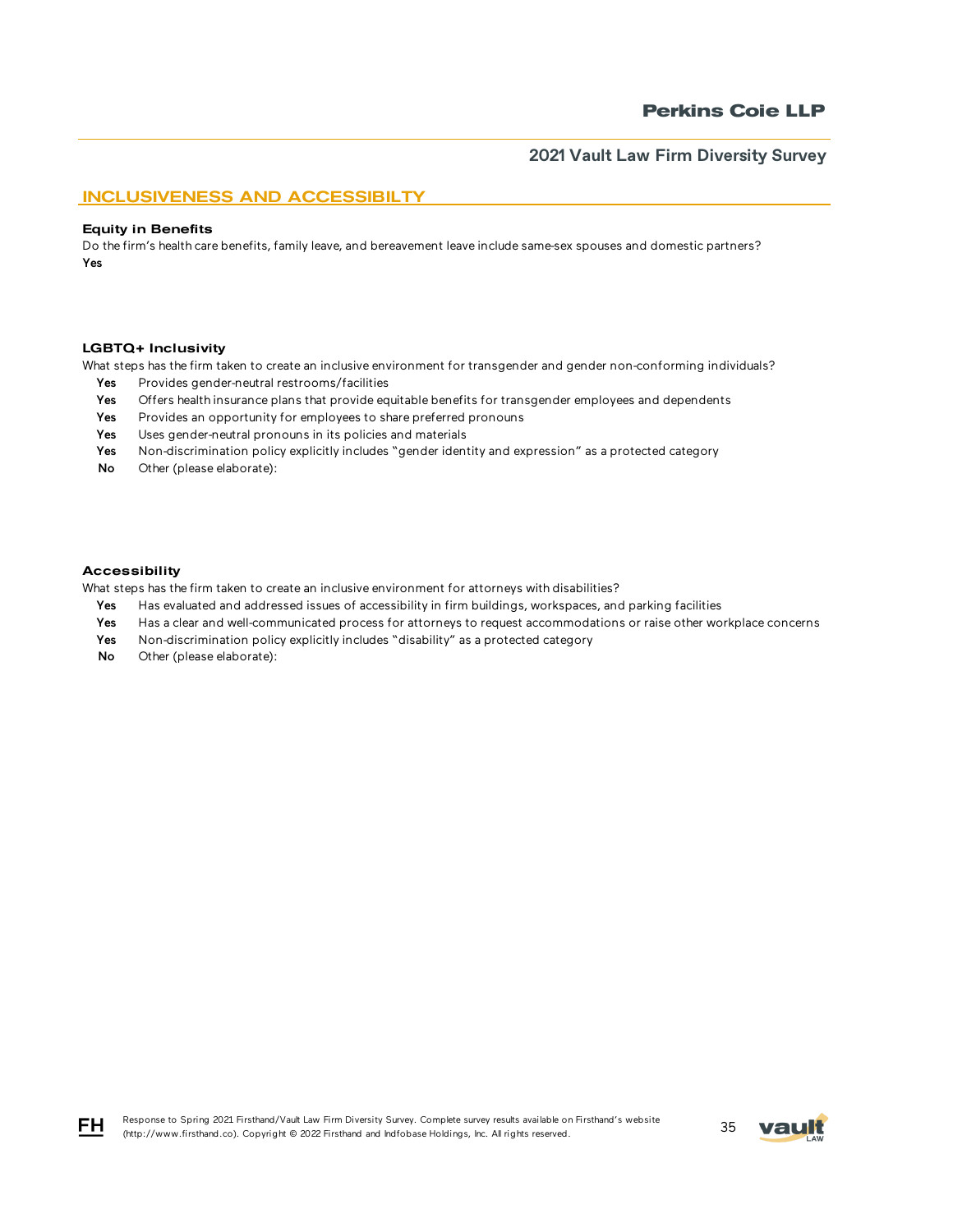## INCLUSIVENESS AND ACCESSIBILTY

#### Equity in Benefits

Do the firm's health care benefits, family leave, and bereavement leave include same-sex spouses and domestic partners? Yes

#### LGBTQ+ Inclusivity

What steps has the firm taken to create an inclusive environment for transgender and gender non-conforming individuals?

- Yes Provides gender-neutral restrooms/facilities
- Yes Offers health insurance plans that provide equitable benefits for transgender employees and dependents
- Yes Provides an opportunity for employees to share preferred pronouns
- Yes Uses gender-neutral pronouns in its policies and materials
- Yes Non-discrimination policy explicitly includes "gender identity and expression" as a protected category
- No Other (please elaborate):

#### Accessibility

What steps has the firm taken to create an inclusive environment for attorneys with disabilities?

- Yes Has evaluated and addressed issues of accessibility in firm buildings, workspaces, and parking facilities
- Yes Has a clear and well-communicated process for attorneys to request accommodations or raise other workplace concerns
- Yes Non-discrimination policy explicitly includes "disability" as a protected category
- No Other (please elaborate):



FH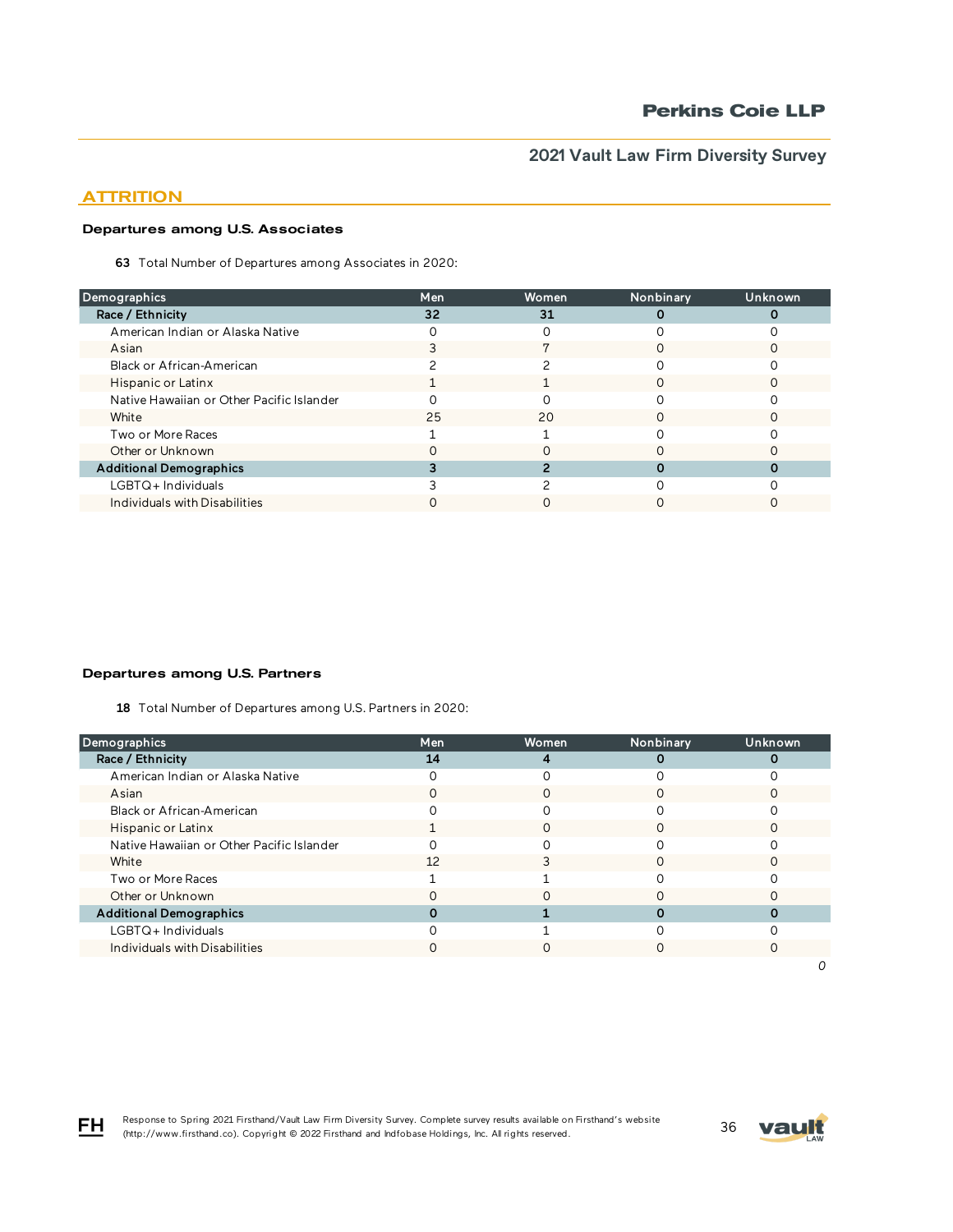# **ATTRITION**

### Departures among U.S. Associates

63 Total Number of Departures among Associates in 2020:

| <b>Demographics</b>                       | Men | Women | Nonbinary | Unknown |
|-------------------------------------------|-----|-------|-----------|---------|
| Race / Ethnicity                          | 32  | 31    |           |         |
| American Indian or Alaska Native          |     |       |           |         |
| Asian                                     |     |       |           |         |
| Black or African-American                 |     |       |           |         |
| Hispanic or Latinx                        |     |       | ∩         |         |
| Native Hawaiian or Other Pacific Islander |     |       |           |         |
| White                                     | 25  | 20    |           |         |
| Two or More Races                         |     |       |           |         |
| Other or Unknown                          |     |       |           |         |
| <b>Additional Demographics</b>            |     |       |           |         |
| $LGBTQ+$ Individuals                      |     |       |           |         |
| Individuals with Disabilities             |     |       |           |         |
|                                           |     |       |           |         |

### Departures among U.S. Partners

18 Total Number of Departures among U.S. Partners in 2020:

| <b>Demographics</b>                       | Men | <b>Women</b> | Nonbinary | Unknown |
|-------------------------------------------|-----|--------------|-----------|---------|
| Race / Ethnicity                          | 14  |              |           |         |
| American Indian or Alaska Native          |     |              |           |         |
| Asian                                     |     | Ω            |           |         |
| Black or African-American                 |     |              |           |         |
| Hispanic or Latinx                        |     |              |           |         |
| Native Hawaiian or Other Pacific Islander |     |              |           |         |
| White                                     | 12  |              |           |         |
| Two or More Races                         |     |              |           |         |
| Other or Unknown                          |     |              |           |         |
| <b>Additional Demographics</b>            |     |              |           |         |
| $LGBTQ+$ Individuals                      |     |              |           |         |
| Individuals with Disabilities             |     |              |           |         |
|                                           |     |              |           |         |

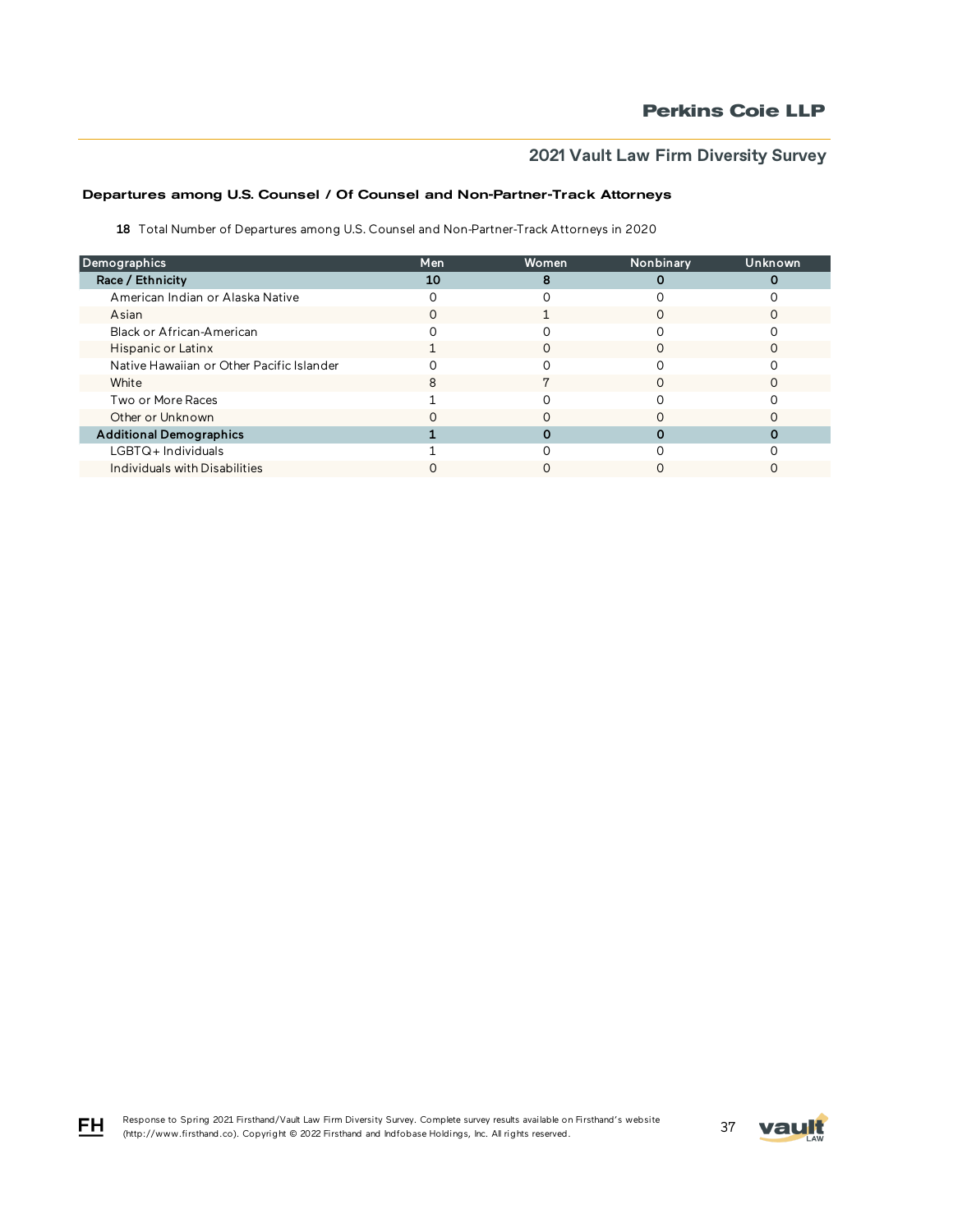# Departures among U.S. Counsel / Of Counsel and Non-Partner-Track Attorneys

18 Total Number of Departures among U.S. Counsel and Non-Partner-Track Attorneys in 2020

| Demographics                              | Men | Women | Nonbinary | Unknown |
|-------------------------------------------|-----|-------|-----------|---------|
| Race / Ethnicity                          | 10  |       |           |         |
| American Indian or Alaska Native          |     |       |           |         |
| Asian                                     |     |       |           |         |
| Black or African-American                 |     |       |           |         |
| Hispanic or Latinx                        |     | O     |           |         |
| Native Hawaiian or Other Pacific Islander |     |       |           |         |
| White                                     |     |       |           |         |
| Two or More Races                         |     |       |           |         |
| Other or Unknown                          |     |       |           |         |
| <b>Additional Demographics</b>            |     |       |           |         |
| LGBTQ+Individuals                         |     |       |           |         |
| Individuals with Disabilities             |     |       |           |         |

FH

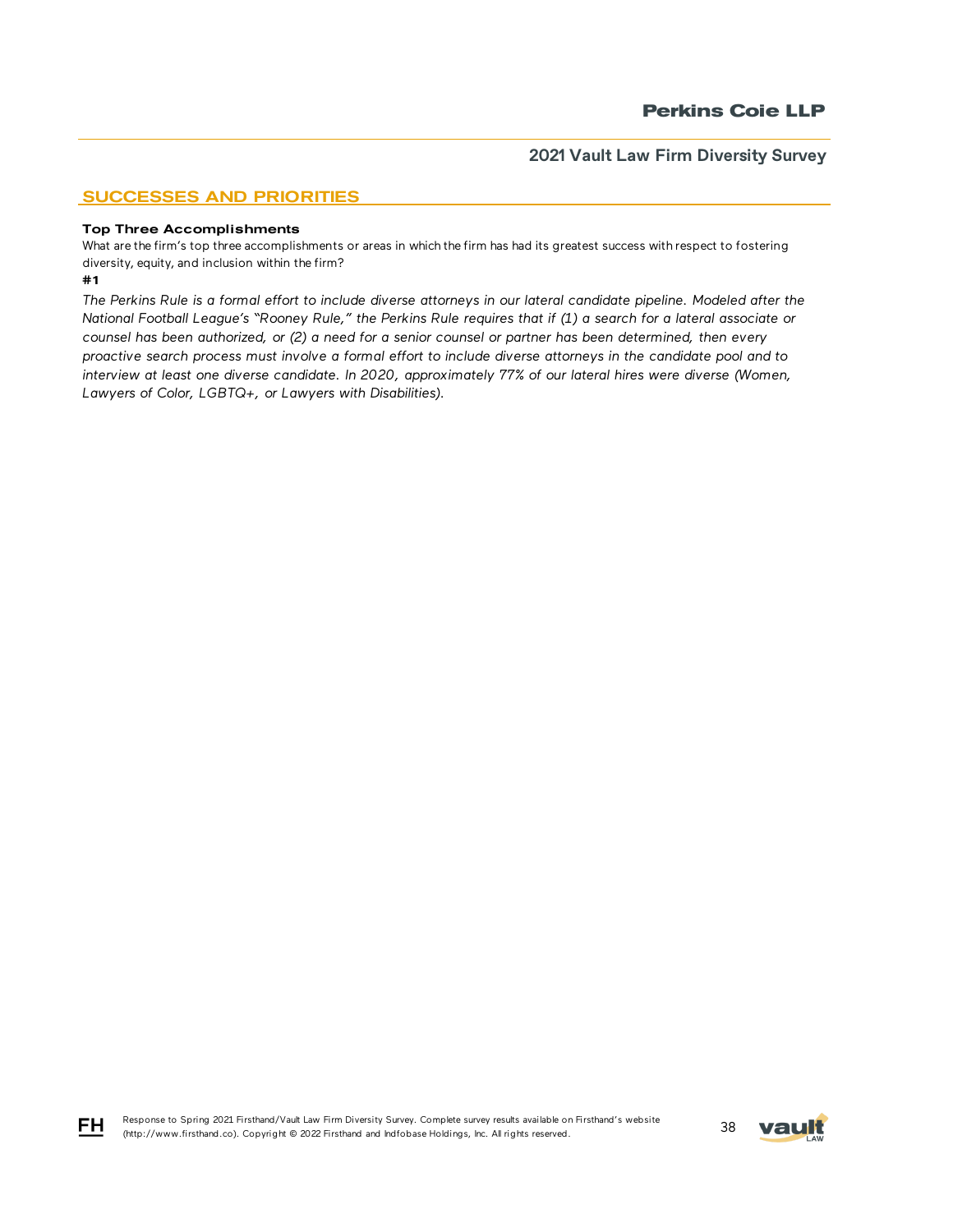# SUCCESSES AND PRIORITIES

#### Top Three Accomplishments

What are the firm's top three accomplishments or areas in which the firm has had its greatest success with respect to fostering diversity, equity, and inclusion within the firm?

#### #1

*The Perkins Rule is a formal effort to include diverse attorneys in our lateral candidate pipeline. Modeled after the National Football League's "Rooney Rule," the Perkins Rule requires that if (1) a search for a lateral associate or counsel has been authorized, or (2) a need for a senior counsel or partner has been determined, then every proactive search process must involve a formal effort to include diverse attorneys in the candidate pool and to interview at least one diverse candidate. In 2020, approximately 77% of our lateral hires were diverse (Women, Lawyers of Color, LGBTQ+, or Lawyers with Disabilities).*



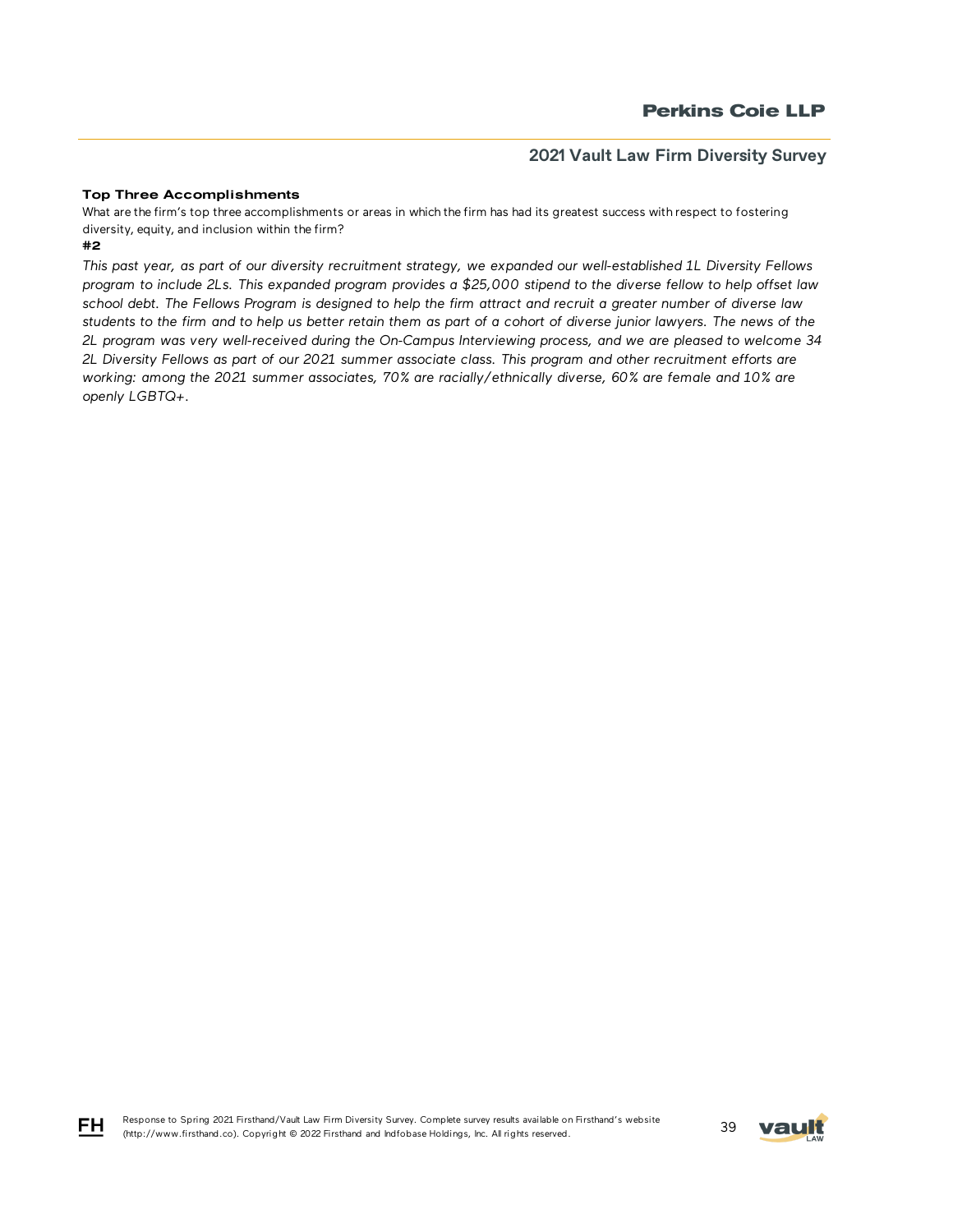## Top Three Accomplishments

What are the firm's top three accomplishments or areas in which the firm has had its greatest success with respect to fostering diversity, equity, and inclusion within the firm?

#2

*This past year, as part of our diversity recruitment strategy, we expanded our well-established 1L Diversity Fellows program to include 2Ls. This expanded program provides a \$25,000 stipend to the diverse fellow to help offset law school debt. The Fellows Program is designed to help the firm attract and recruit a greater number of diverse law students to the firm and to help us better retain them as part of a cohort of diverse junior lawyers. The news of the 2L program was very well-received during the On-Campus Interviewing process, and we are pleased to welcome 34 2L Diversity Fellows as part of our 2021 summer associate class. This program and other recruitment efforts are working: among the 2021 summer associates, 70% are racially/ethnically diverse, 60% are female and 10% are openly LGBTQ+.*



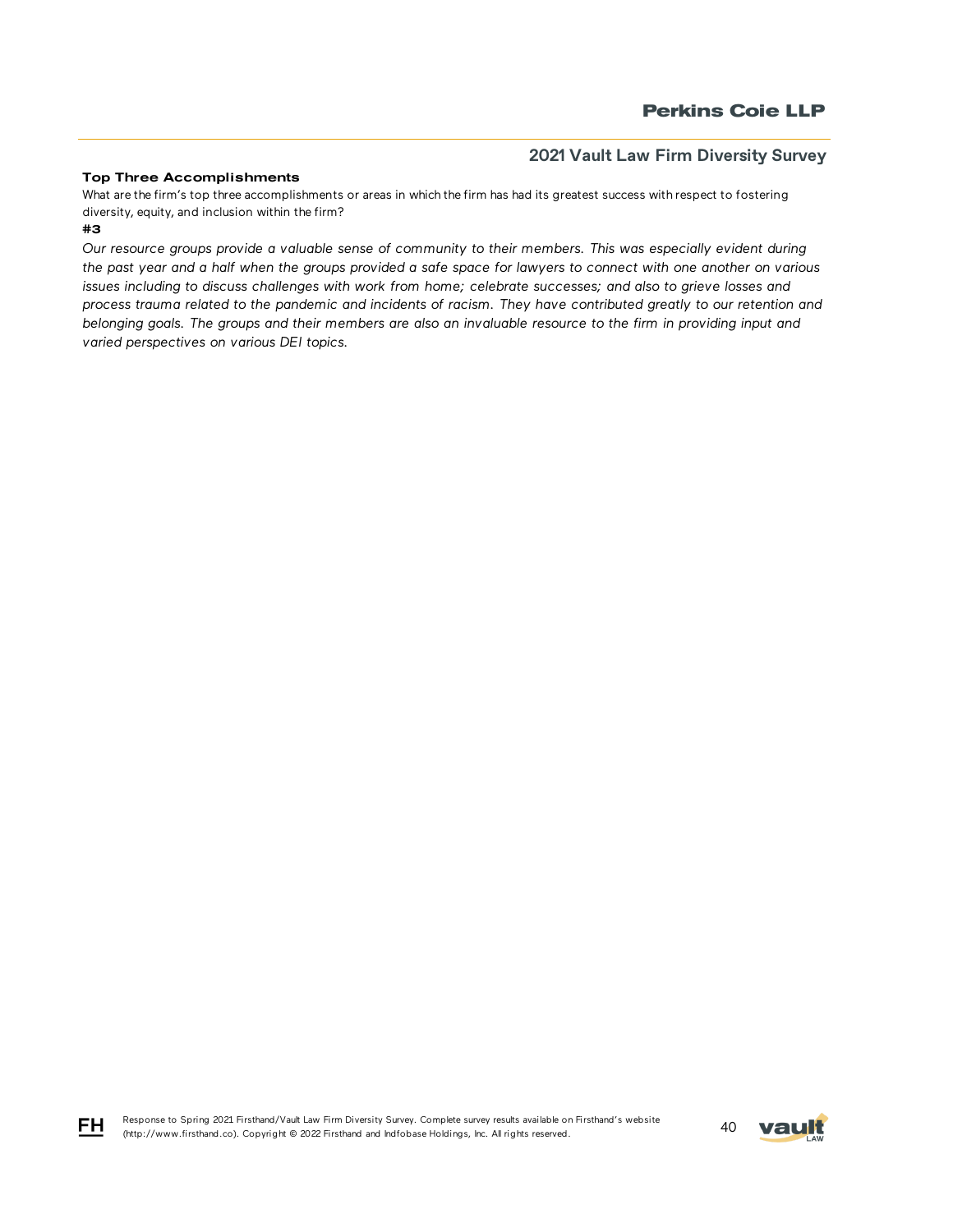## Top Three Accomplishments

#3 What are the firm's top three accomplishments or areas in which the firm has had its greatest success with respect to fostering diversity, equity, and inclusion within the firm?

*Our resource groups provide a valuable sense of community to their members. This was especially evident during the past year and a half when the groups provided a safe space for lawyers to connect with one another on various issues including to discuss challenges with work from home; celebrate successes; and also to grieve losses and process trauma related to the pandemic and incidents of racism. They have contributed greatly to our retention and belonging goals. The groups and their members are also an invaluable resource to the firm in providing input and varied perspectives on various DEI topics.*



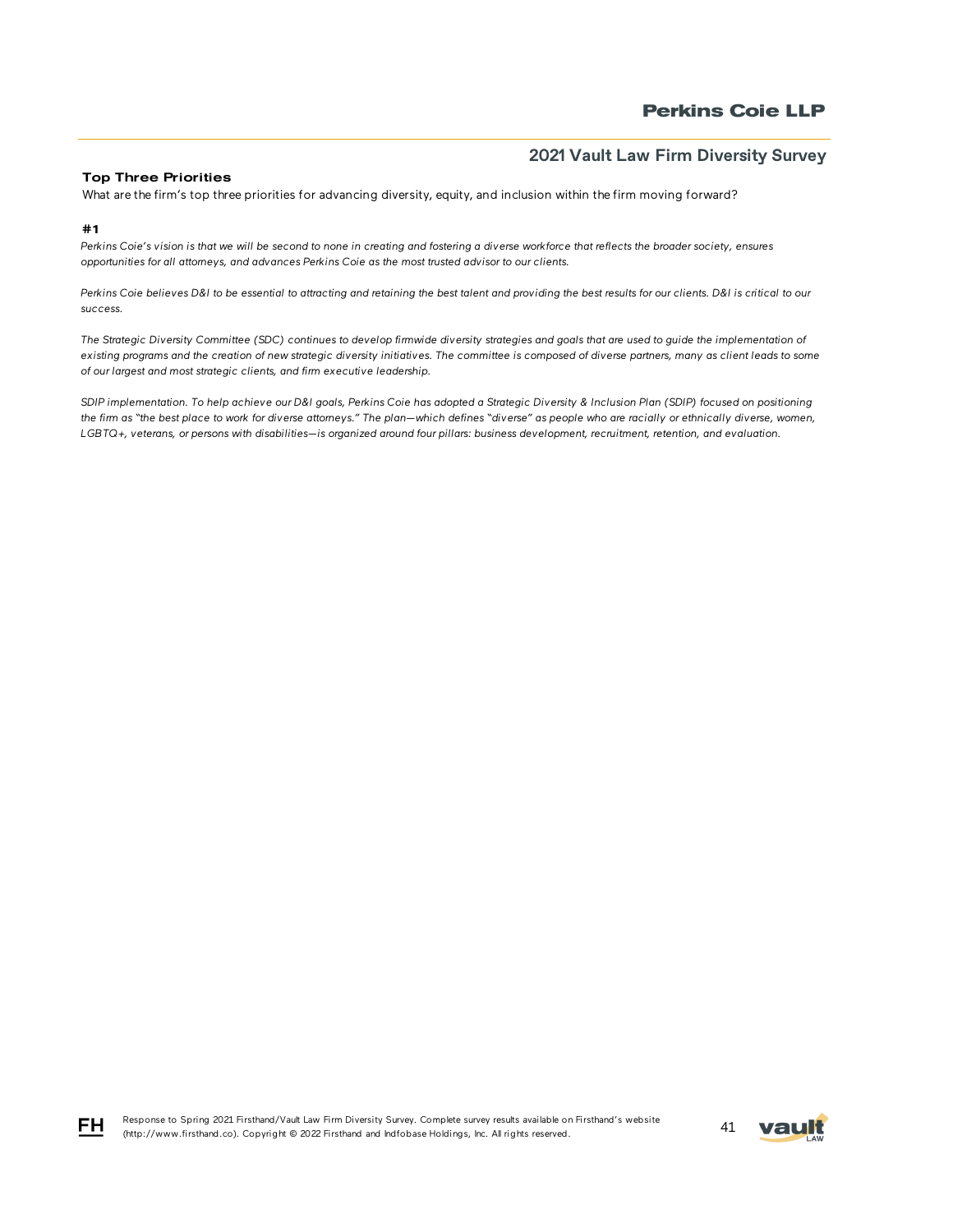## Top Three Priorities

What are the firm's top three priorities for advancing diversity, equity, and inclusion within the firm moving forward?

#### #1

FH.

*Perkins Coie's vision is that we will be second to none in creating and fostering a diverse workforce that reflects the broader society, ensures opportunities for all attorneys, and advances Perkins Coie as the most trusted advisor to our clients.* 

*Perkins Coie believes D&I to be essential to attracting and retaining the best talent and providing the best results for our clients. D&I is critical to our success.*

*The Strategic Diversity Committee (SDC) continues to develop firmwide diversity strategies and goals that are used to guide the implementation of existing programs and the creation of new strategic diversity initiatives. The committee is composed of diverse partners, many as client leads to some of our largest and most strategic clients, and firm executive leadership.* 

*SDIP implementation. To help achieve our D&I goals, Perkins Coie has adopted a Strategic Diversity & Inclusion Plan (SDIP) focused on positioning the firm as "the best place to work for diverse attorneys." The plan—which defines "diverse" as people who are racially or ethnically diverse, women, LGBTQ+, veterans, or persons with disabilities—is organized around four pillars: business development, recruitment, retention, and evaluation.*

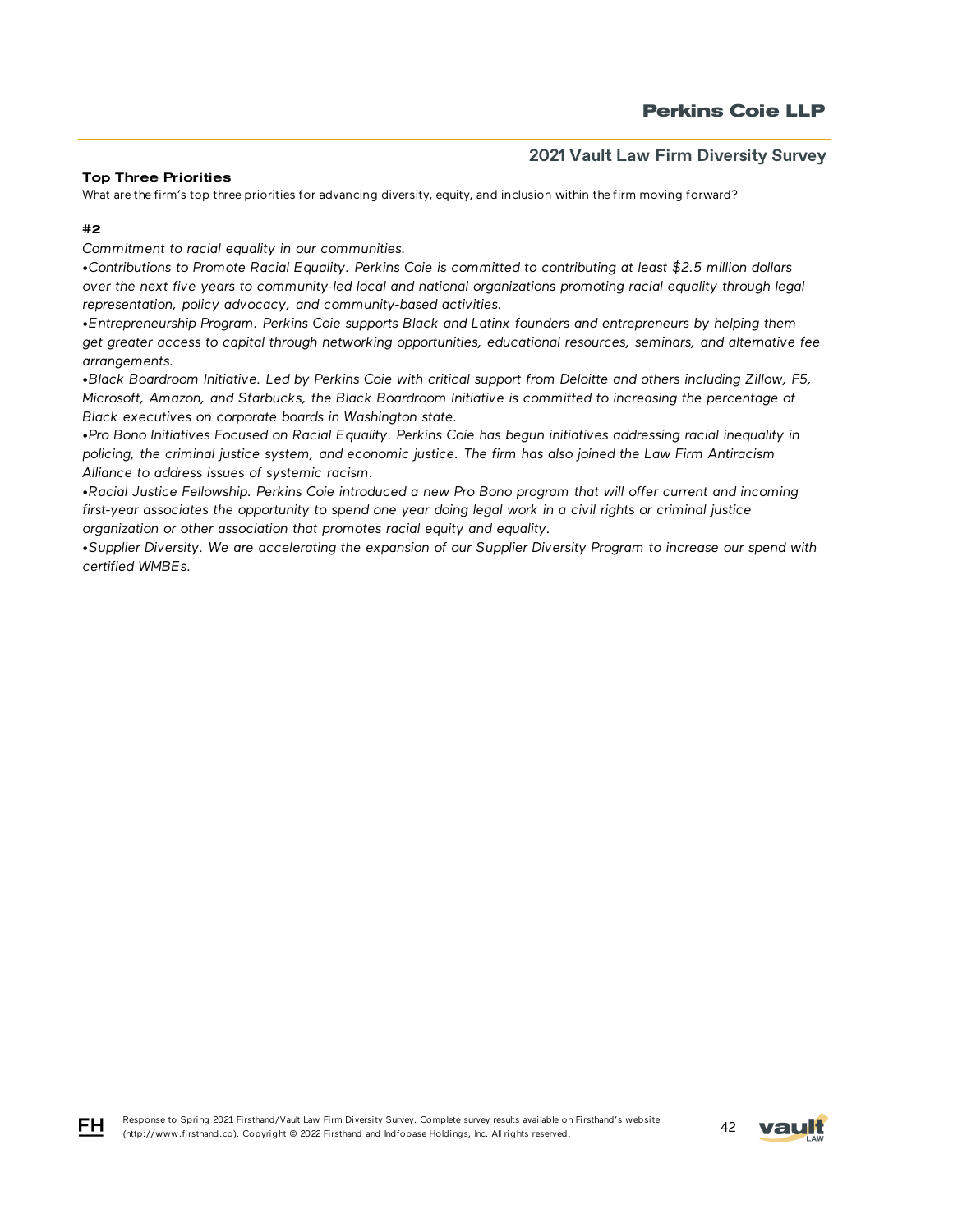## Top Three Priorities

What are the firm's top three priorities for advancing diversity, equity, and inclusion within the firm moving forward?

## #2

FH.

*Commitment to racial equality in our communities.*

*•Contributions to Promote Racial Equality. Perkins Coie is committed to contributing at least \$2.5 million dollars over the next five years to community-led local and national organizations promoting racial equality through legal representation, policy advocacy, and community-based activities.*

*•Entrepreneurship Program. Perkins Coie supports Black and Latinx founders and entrepreneurs by helping them get greater access to capital through networking opportunities, educational resources, seminars, and alternative fee arrangements.*

*•Black Boardroom Initiative. Led by Perkins Coie with critical support from Deloitte and others including Zillow, F5, Microsoft, Amazon, and Starbucks, the Black Boardroom Initiative is committed to increasing the percentage of Black executives on corporate boards in Washington state.*

*•Pro Bono Initiatives Focused on Racial Equality. Perkins Coie has begun initiatives addressing racial inequality in policing, the criminal justice system, and economic justice. The firm has also joined the Law Firm Antiracism Alliance to address issues of systemic racism.* 

*•Racial Justice Fellowship. Perkins Coie introduced a new Pro Bono program that will offer current and incoming first-year associates the opportunity to spend one year doing legal work in a civil rights or criminal justice organization or other association that promotes racial equity and equality.*

*•Supplier Diversity. We are accelerating the expansion of our Supplier Diversity Program to increase our spend with certified WMBEs.*

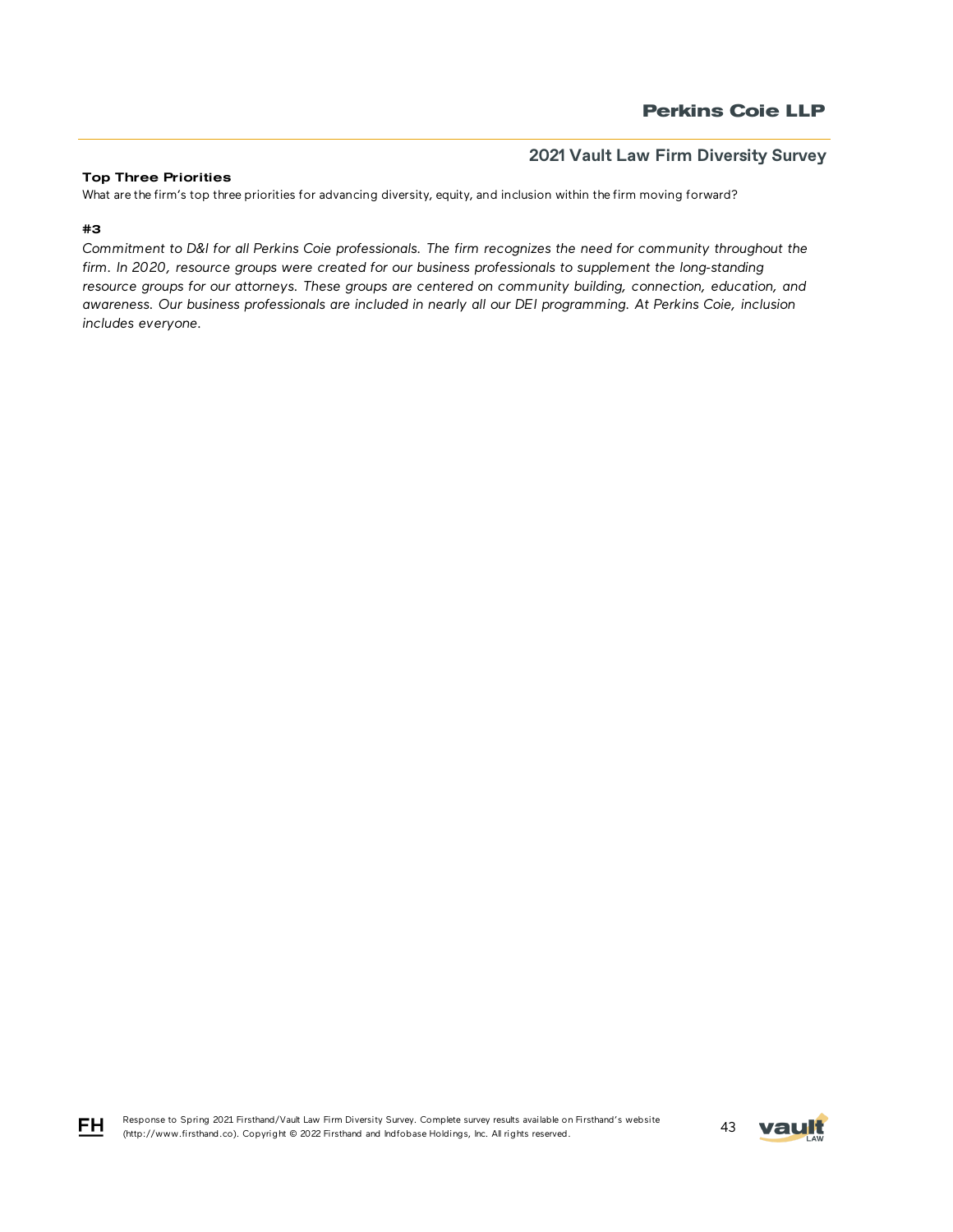## Top Three Priorities

What are the firm's top three priorities for advancing diversity, equity, and inclusion within the firm moving forward?

## #3

FH

*Commitment to D&I for all Perkins Coie professionals. The firm recognizes the need for community throughout the firm. In 2020, resource groups were created for our business professionals to supplement the long-standing resource groups for our attorneys. These groups are centered on community building, connection, education, and awareness. Our business professionals are included in nearly all our DEI programming. At Perkins Coie, inclusion includes everyone.*